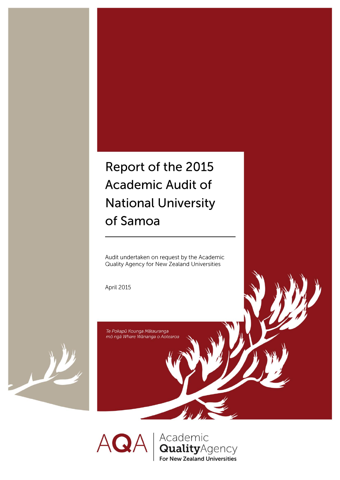# Report of the 2015 **Academic Audit of National University** of Samoa

Audit undertaken on request by the Academic Quality Agency for New Zealand Universities

April 2015

Te Pokapū Kounga Mātauranga mō ngā Whare Wānanga o Aotearoa



Academic<br>**Quality**Agency  $AO$ **For New Zealand Universities**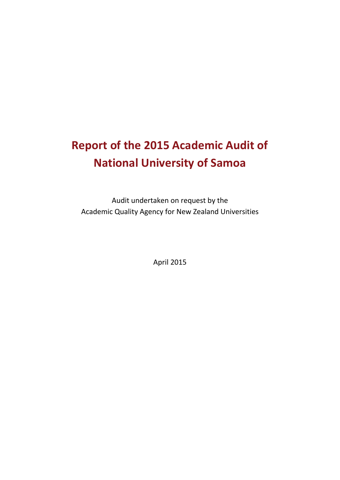# **Report of the 2015 Academic Audit of National University of Samoa**

Audit undertaken on request by the Academic Quality Agency for New Zealand Universities

April 2015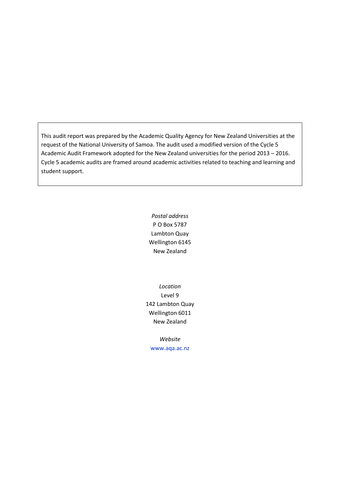This audit report was prepared by the Academic Quality Agency for New Zealand Universities at the request of the National University of Samoa. The audit used a modified version of the Cycle 5 Academic Audit Framework adopted for the New Zealand universities for the period 2013 – 2016. Cycle 5 academic audits are framed around academic activities related to teaching and learning and student support.

> *Postal address* P O Box 5787 Lambton Quay Wellington 6145 New Zealand

*Location* Level 9 142 Lambton Quay Wellington 6011 New Zealand

*Website* [www.aqa.ac.nz](http://www.aqa.ac.nz/)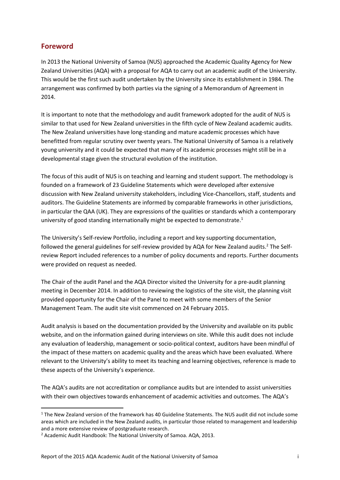## <span id="page-3-0"></span>**Foreword**

**.** 

In 2013 the National University of Samoa (NUS) approached the Academic Quality Agency for New Zealand Universities (AQA) with a proposal for AQA to carry out an academic audit of the University. This would be the first such audit undertaken by the University since its establishment in 1984. The arrangement was confirmed by both parties via the signing of a Memorandum of Agreement in 2014.

It is important to note that the methodology and audit framework adopted for the audit of NUS is similar to that used for New Zealand universities in the fifth cycle of New Zealand academic audits. The New Zealand universities have long-standing and mature academic processes which have benefitted from regular scrutiny over twenty years. The National University of Samoa is a relatively young university and it could be expected that many of its academic processes might still be in a developmental stage given the structural evolution of the institution.

The focus of this audit of NUS is on teaching and learning and student support. The methodology is founded on a framework of 23 Guideline Statements which were developed after extensive discussion with New Zealand university stakeholders, including Vice-Chancellors, staff, students and auditors. The Guideline Statements are informed by comparable frameworks in other jurisdictions, in particular the QAA (UK). They are expressions of the qualities or standards which a contemporary university of good standing internationally might be expected to demonstrate.<sup>1</sup>

The University's Self-review Portfolio, including a report and key supporting documentation, followed the general guidelines for self-review provided by AQA for New Zealand audits.<sup>2</sup> The Selfreview Report included references to a number of policy documents and reports. Further documents were provided on request as needed.

The Chair of the audit Panel and the AQA Director visited the University for a pre-audit planning meeting in December 2014. In addition to reviewing the logistics of the site visit, the planning visit provided opportunity for the Chair of the Panel to meet with some members of the Senior Management Team. The audit site visit commenced on 24 February 2015.

Audit analysis is based on the documentation provided by the University and available on its public website, and on the information gained during interviews on site. While this audit does not include any evaluation of leadership, management or socio-political context, auditors have been mindful of the impact of these matters on academic quality and the areas which have been evaluated. Where relevant to the University's ability to meet its teaching and learning objectives, reference is made to these aspects of the University's experience.

The AQA's audits are not accreditation or compliance audits but are intended to assist universities with their own objectives towards enhancement of academic activities and outcomes. The AQA's

<sup>&</sup>lt;sup>1</sup> The New Zealand version of the framework has 40 Guideline Statements. The NUS audit did not include some areas which are included in the New Zealand audits, in particular those related to management and leadership and a more extensive review of postgraduate research.

<sup>2</sup> Academic Audit Handbook: The National University of Samoa. AQA, 2013.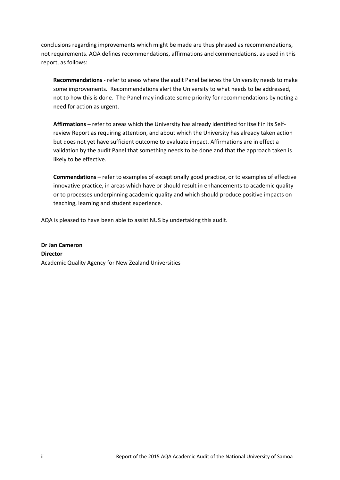conclusions regarding improvements which might be made are thus phrased as recommendations, not requirements. AQA defines recommendations, affirmations and commendations, as used in this report, as follows:

**Recommendations** - refer to areas where the audit Panel believes the University needs to make some improvements. Recommendations alert the University to what needs to be addressed, not to how this is done. The Panel may indicate some priority for recommendations by noting a need for action as urgent.

**Affirmations –** refer to areas which the University has already identified for itself in its Selfreview Report as requiring attention, and about which the University has already taken action but does not yet have sufficient outcome to evaluate impact. Affirmations are in effect a validation by the audit Panel that something needs to be done and that the approach taken is likely to be effective.

**Commendations –** refer to examples of exceptionally good practice, or to examples of effective innovative practice, in areas which have or should result in enhancements to academic quality or to processes underpinning academic quality and which should produce positive impacts on teaching, learning and student experience.

AQA is pleased to have been able to assist NUS by undertaking this audit.

**Dr Jan Cameron Director** Academic Quality Agency for New Zealand Universities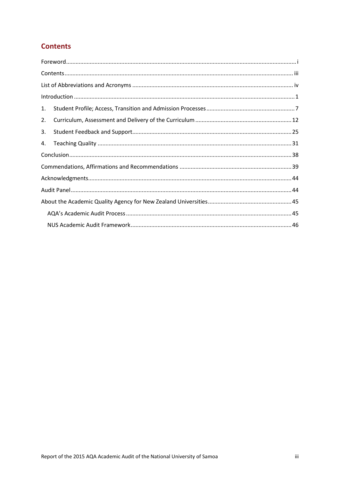# <span id="page-5-0"></span>**Contents**

|    | $\label{lem:1} \mbox{Introduction} \,\, \ldots \,\, \ldots \,\, \ldots \,\, \ldots \,\, \ldots \,\, \ldots \,\, \ldots \,\, \ldots \,\, \ldots \,\, \ldots \,\, \ldots \,\, \ldots \,\, \ldots \,\, \ldots \,\, \ldots \,\, \ldots \,\, \ldots \,\, \ldots \,\, \ldots \,\, \ldots \,\, \ldots \,\, \ldots \,\, \ldots \,\, \ldots \,\, \ldots \,\, \ldots \,\, \ldots \,\, \ldots \,\, \ldots \,\, \ldots \,\, \ldots \,\, \ldots \,\, \ldots \,\, \ldots \,\,$ |
|----|------------------------------------------------------------------------------------------------------------------------------------------------------------------------------------------------------------------------------------------------------------------------------------------------------------------------------------------------------------------------------------------------------------------------------------------------------------------|
| 1. |                                                                                                                                                                                                                                                                                                                                                                                                                                                                  |
| 2. |                                                                                                                                                                                                                                                                                                                                                                                                                                                                  |
| 3. |                                                                                                                                                                                                                                                                                                                                                                                                                                                                  |
| 4. |                                                                                                                                                                                                                                                                                                                                                                                                                                                                  |
|    |                                                                                                                                                                                                                                                                                                                                                                                                                                                                  |
|    |                                                                                                                                                                                                                                                                                                                                                                                                                                                                  |
|    |                                                                                                                                                                                                                                                                                                                                                                                                                                                                  |
|    |                                                                                                                                                                                                                                                                                                                                                                                                                                                                  |
|    |                                                                                                                                                                                                                                                                                                                                                                                                                                                                  |
|    |                                                                                                                                                                                                                                                                                                                                                                                                                                                                  |
|    |                                                                                                                                                                                                                                                                                                                                                                                                                                                                  |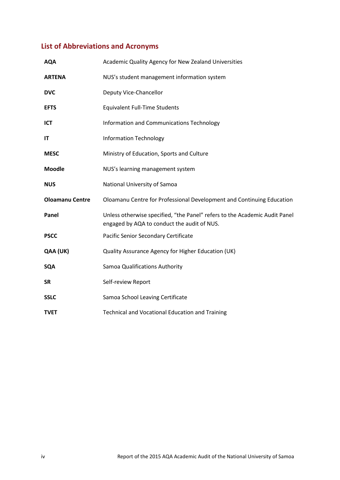# <span id="page-6-0"></span>**List of Abbreviations and Acronyms**

| <b>AQA</b>             | Academic Quality Agency for New Zealand Universities                                                                      |
|------------------------|---------------------------------------------------------------------------------------------------------------------------|
| <b>ARTENA</b>          | NUS's student management information system                                                                               |
| <b>DVC</b>             | Deputy Vice-Chancellor                                                                                                    |
| <b>EFTS</b>            | <b>Equivalent Full-Time Students</b>                                                                                      |
| <b>ICT</b>             | Information and Communications Technology                                                                                 |
| IT                     | <b>Information Technology</b>                                                                                             |
| <b>MESC</b>            | Ministry of Education, Sports and Culture                                                                                 |
| <b>Moodle</b>          | NUS's learning management system                                                                                          |
| <b>NUS</b>             | National University of Samoa                                                                                              |
| <b>Oloamanu Centre</b> | Oloamanu Centre for Professional Development and Continuing Education                                                     |
| Panel                  | Unless otherwise specified, "the Panel" refers to the Academic Audit Panel<br>engaged by AQA to conduct the audit of NUS. |
| <b>PSCC</b>            | Pacific Senior Secondary Certificate                                                                                      |
| QAA (UK)               | Quality Assurance Agency for Higher Education (UK)                                                                        |
| <b>SQA</b>             | Samoa Qualifications Authority                                                                                            |
| <b>SR</b>              | Self-review Report                                                                                                        |
| <b>SSLC</b>            | Samoa School Leaving Certificate                                                                                          |
| <b>TVET</b>            | <b>Technical and Vocational Education and Training</b>                                                                    |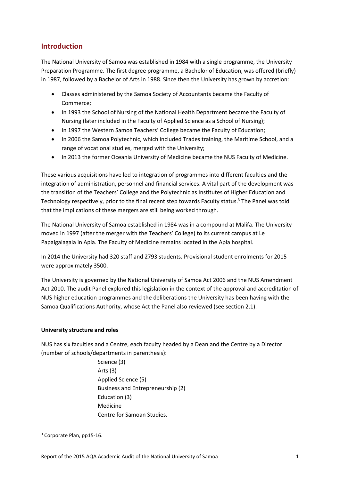## <span id="page-7-0"></span>**Introduction**

The National University of Samoa was established in 1984 with a single programme, the University Preparation Programme. The first degree programme, a Bachelor of Education, was offered (briefly) in 1987, followed by a Bachelor of Arts in 1988. Since then the University has grown by accretion:

- Classes administered by the Samoa Society of Accountants became the Faculty of Commerce;
- In 1993 the School of Nursing of the National Health Department became the Faculty of Nursing (later included in the Faculty of Applied Science as a School of Nursing);
- In 1997 the Western Samoa Teachers' College became the Faculty of Education;
- In 2006 the Samoa Polytechnic, which included Trades training, the Maritime School, and a range of vocational studies, merged with the University;
- In 2013 the former Oceania University of Medicine became the NUS Faculty of Medicine.

These various acquisitions have led to integration of programmes into different faculties and the integration of administration, personnel and financial services. A vital part of the development was the transition of the Teachers' College and the Polytechnic as Institutes of Higher Education and Technology respectively, prior to the final recent step towards Faculty status.<sup>3</sup> The Panel was told that the implications of these mergers are still being worked through.

The National University of Samoa established in 1984 was in a compound at Malifa. The University moved in 1997 (after the merger with the Teachers' College) to its current campus at Le Papaigalagala in Apia. The Faculty of Medicine remains located in the Apia hospital.

In 2014 the University had 320 staff and 2793 students. Provisional student enrolments for 2015 were approximately 3500.

The University is governed by the National University of Samoa Act 2006 and the NUS Amendment Act 2010. The audit Panel explored this legislation in the context of the approval and accreditation of NUS higher education programmes and the deliberations the University has been having with the Samoa Qualifications Authority, whose Act the Panel also reviewed (see section 2.1).

## **University structure and roles**

NUS has six faculties and a Centre, each faculty headed by a Dean and the Centre by a Director (number of schools/departments in parenthesis):

> Science (3) Arts (3) Applied Science (5) Business and Entrepreneurship (2) Education (3) Medicine Centre for Samoan Studies.

<sup>&</sup>lt;sup>3</sup> Corporate Plan, pp15-16.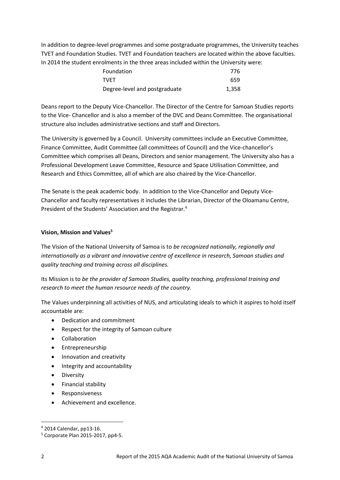In addition to degree-level programmes and some postgraduate programmes, the University teaches TVET and Foundation Studies. TVET and Foundation teachers are located within the above faculties. In 2014 the student enrolments in the three areas included within the University were:

| Foundation                    | 776   |
|-------------------------------|-------|
| <b>TVFT</b>                   | 659   |
| Degree-level and postgraduate | 1.358 |

Deans report to the Deputy Vice-Chancellor. The Director of the Centre for Samoan Studies reports to the Vice- Chancellor and is also a member of the DVC and Deans Committee. The organisational structure also includes administrative sections and staff and Directors.

The University is governed by a Council. University committees include an Executive Committee, Finance Committee, Audit Committee (all committees of Council) and the Vice-chancellor's Committee which comprises all Deans, Directors and senior management. The University also has a Professional Development Leave Committee, Resource and Space Utilisation Committee, and Research and Ethics Committee, all of which are also chaired by the Vice-Chancellor.

The Senate is the peak academic body. In addition to the Vice-Chancellor and Deputy Vice-Chancellor and faculty representatives it includes the Librarian, Director of the Oloamanu Centre, President of the Students' Association and the Registrar.<sup>4</sup>

## **Vision, Mission and Values<sup>5</sup>**

The Vision of the National University of Samoa is to *be recognized nationally, regionally and internationally as a vibrant and innovative centre of excellence in research, Samoan studies and quality teaching and training across all disciplines.*

Its Mission is to *be the provider of Samoan Studies, quality teaching, professional training and research to meet the human resource needs of the country.*

The Values underpinning all activities of NUS, and articulating ideals to which it aspires to hold itself accountable are:

- Dedication and commitment
- Respect for the integrity of Samoan culture
- Collaboration
- Entrepreneurship
- Innovation and creativity
- Integrity and accountability
- **•** Diversity
- Financial stability
- Responsiveness
- Achievement and excellence.

<sup>4</sup> 2014 Calendar, pp13-16.

<sup>5</sup> Corporate Plan 2015-2017, pp4-5.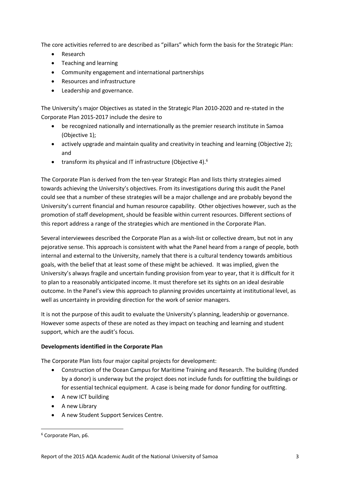The core activities referred to are described as "pillars" which form the basis for the Strategic Plan:

- Research
- Teaching and learning
- Community engagement and international partnerships
- Resources and infrastructure
- Leadership and governance.

The University's major Objectives as stated in the Strategic Plan 2010-2020 and re-stated in the Corporate Plan 2015-2017 include the desire to

- be recognized nationally and internationally as the premier research institute in Samoa (Objective 1);
- actively upgrade and maintain quality and creativity in teaching and learning (Objective 2); and
- transform its physical and IT infrastructure (Objective 4). $^6$

The Corporate Plan is derived from the ten-year Strategic Plan and lists thirty strategies aimed towards achieving the University's objectives. From its investigations during this audit the Panel could see that a number of these strategies will be a major challenge and are probably beyond the University's current financial and human resource capability. Other objectives however, such as the promotion of staff development, should be feasible within current resources. Different sections of this report address a range of the strategies which are mentioned in the Corporate Plan.

Several interviewees described the Corporate Plan as a wish-list or collective dream, but not in any pejorative sense. This approach is consistent with what the Panel heard from a range of people, both internal and external to the University, namely that there is a cultural tendency towards ambitious goals, with the belief that at least some of these might be achieved. It was implied, given the University's always fragile and uncertain funding provision from year to year, that it is difficult for it to plan to a reasonably anticipated income. It must therefore set its sights on an ideal desirable outcome. In the Panel's view this approach to planning provides uncertainty at institutional level, as well as uncertainty in providing direction for the work of senior managers.

It is not the purpose of this audit to evaluate the University's planning, leadership or governance. However some aspects of these are noted as they impact on teaching and learning and student support, which are the audit's focus.

## **Developments identified in the Corporate Plan**

The Corporate Plan lists four major capital projects for development:

- Construction of the Ocean Campus for Maritime Training and Research. The building (funded by a donor) is underway but the project does not include funds for outfitting the buildings or for essential technical equipment. A case is being made for donor funding for outfitting.
- A new ICT building
- A new Library
- A new Student Support Services Centre.

<sup>6</sup> Corporate Plan, p6.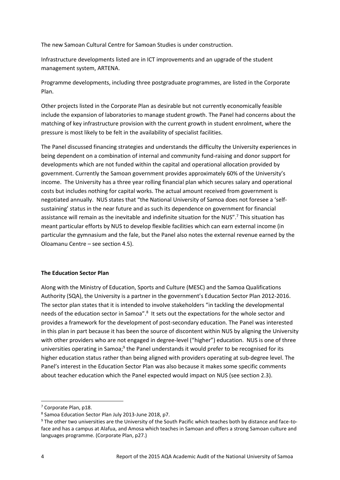The new Samoan Cultural Centre for Samoan Studies is under construction.

Infrastructure developments listed are in ICT improvements and an upgrade of the student management system, ARTENA.

Programme developments, including three postgraduate programmes, are listed in the Corporate Plan.

Other projects listed in the Corporate Plan as desirable but not currently economically feasible include the expansion of laboratories to manage student growth. The Panel had concerns about the matching of key infrastructure provision with the current growth in student enrolment, where the pressure is most likely to be felt in the availability of specialist facilities.

The Panel discussed financing strategies and understands the difficulty the University experiences in being dependent on a combination of internal and community fund-raising and donor support for developments which are not funded within the capital and operational allocation provided by government. Currently the Samoan government provides approximately 60% of the University's income. The University has a three year rolling financial plan which secures salary and operational costs but includes nothing for capital works. The actual amount received from government is negotiated annually. NUS states that "the National University of Samoa does not foresee a 'selfsustaining' status in the near future and as such its dependence on government for financial assistance will remain as the inevitable and indefinite situation for the NUS".<sup>7</sup> This situation has meant particular efforts by NUS to develop flexible facilities which can earn external income (in particular the gymnasium and the fale, but the Panel also notes the external revenue earned by the Oloamanu Centre – see section 4.5).

## **The Education Sector Plan**

Along with the Ministry of Education, Sports and Culture (MESC) and the Samoa Qualifications Authority (SQA), the University is a partner in the government's Education Sector Plan 2012-2016. The sector plan states that it is intended to involve stakeholders "in tackling the developmental needs of the education sector in Samoa".<sup>8</sup> It sets out the expectations for the whole sector and provides a framework for the development of post-secondary education. The Panel was interested in this plan in part because it has been the source of discontent within NUS by aligning the University with other providers who are not engaged in degree-level ("higher") education. NUS is one of three universities operating in Samoa;<sup>9</sup> the Panel understands it would prefer to be recognised for its higher education status rather than being aligned with providers operating at sub-degree level. The Panel's interest in the Education Sector Plan was also because it makes some specific comments about teacher education which the Panel expected would impact on NUS (see section 2.3).

 $\overline{a}$ 

<sup>7</sup> Corporate Plan, p18.

<sup>8</sup> Samoa Education Sector Plan July 2013-June 2018, p7.

<sup>9</sup> The other two universities are the University of the South Pacific which teaches both by distance and face-toface and has a campus at Alafua, and Amosa which teaches in Samoan and offers a strong Samoan culture and languages programme. (Corporate Plan, p27.)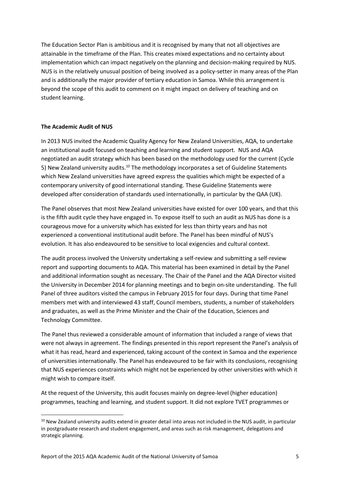The Education Sector Plan is ambitious and it is recognised by many that not all objectives are attainable in the timeframe of the Plan. This creates mixed expectations and no certainty about implementation which can impact negatively on the planning and decision-making required by NUS. NUS is in the relatively unusual position of being involved as a policy-setter in many areas of the Plan and is additionally the major provider of tertiary education in Samoa. While this arrangement is beyond the scope of this audit to comment on it might impact on delivery of teaching and on student learning.

## **The Academic Audit of NUS**

**.** 

In 2013 NUS invited the Academic Quality Agency for New Zealand Universities, AQA, to undertake an institutional audit focused on teaching and learning and student support. NUS and AQA negotiated an audit strategy which has been based on the methodology used for the current (Cycle 5) New Zealand university audits.<sup>10</sup> The methodology incorporates a set of Guideline Statements which New Zealand universities have agreed express the qualities which might be expected of a contemporary university of good international standing. These Guideline Statements were developed after consideration of standards used internationally, in particular by the QAA (UK).

The Panel observes that most New Zealand universities have existed for over 100 years, and that this is the fifth audit cycle they have engaged in. To expose itself to such an audit as NUS has done is a courageous move for a university which has existed for less than thirty years and has not experienced a conventional institutional audit before. The Panel has been mindful of NUS's evolution. It has also endeavoured to be sensitive to local exigencies and cultural context.

The audit process involved the University undertaking a self-review and submitting a self-review report and supporting documents to AQA. This material has been examined in detail by the Panel and additional information sought as necessary. The Chair of the Panel and the AQA Director visited the University in December 2014 for planning meetings and to begin on-site understanding. The full Panel of three auditors visited the campus in February 2015 for four days. During that time Panel members met with and interviewed 43 staff, Council members, students, a number of stakeholders and graduates, as well as the Prime Minister and the Chair of the Education, Sciences and Technology Committee.

The Panel thus reviewed a considerable amount of information that included a range of views that were not always in agreement. The findings presented in this report represent the Panel's analysis of what it has read, heard and experienced, taking account of the context in Samoa and the experience of universities internationally. The Panel has endeavoured to be fair with its conclusions, recognising that NUS experiences constraints which might not be experienced by other universities with which it might wish to compare itself.

At the request of the University, this audit focuses mainly on degree-level (higher education) programmes, teaching and learning, and student support. It did not explore TVET programmes or

<sup>&</sup>lt;sup>10</sup> New Zealand university audits extend in greater detail into areas not included in the NUS audit, in particular in postgraduate research and student engagement, and areas such as risk management, delegations and strategic planning.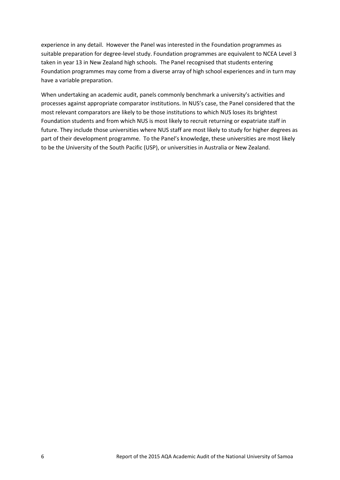experience in any detail. However the Panel was interested in the Foundation programmes as suitable preparation for degree-level study. Foundation programmes are equivalent to NCEA Level 3 taken in year 13 in New Zealand high schools. The Panel recognised that students entering Foundation programmes may come from a diverse array of high school experiences and in turn may have a variable preparation.

When undertaking an academic audit, panels commonly benchmark a university's activities and processes against appropriate comparator institutions. In NUS's case, the Panel considered that the most relevant comparators are likely to be those institutions to which NUS loses its brightest Foundation students and from which NUS is most likely to recruit returning or expatriate staff in future. They include those universities where NUS staff are most likely to study for higher degrees as part of their development programme. To the Panel's knowledge, these universities are most likely to be the University of the South Pacific (USP), or universities in Australia or New Zealand.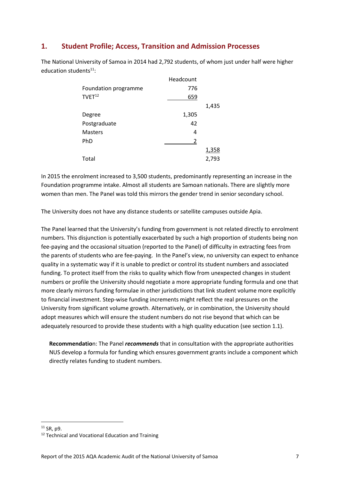## <span id="page-13-0"></span>**1. Student Profile; Access, Transition and Admission Processes**

The National University of Samoa in 2014 had 2,792 students, of whom just under half were higher education students $11$ :

|                      | Headcount |       |
|----------------------|-----------|-------|
| Foundation programme | 776       |       |
| $TVET^{12}$          | 659       |       |
|                      |           | 1,435 |
| Degree               | 1,305     |       |
| Postgraduate         | 42        |       |
| Masters              | 4         |       |
| PhD                  | 2         |       |
|                      |           | 1,358 |
| Total                |           | 2,793 |

In 2015 the enrolment increased to 3,500 students, predominantly representing an increase in the Foundation programme intake. Almost all students are Samoan nationals. There are slightly more women than men. The Panel was told this mirrors the gender trend in senior secondary school.

The University does not have any distance students or satellite campuses outside Apia.

The Panel learned that the University's funding from government is not related directly to enrolment numbers. This disjunction is potentially exacerbated by such a high proportion of students being non fee-paying and the occasional situation (reported to the Panel) of difficulty in extracting fees from the parents of students who are fee-paying. In the Panel's view, no university can expect to enhance quality in a systematic way if it is unable to predict or control its student numbers and associated funding. To protect itself from the risks to quality which flow from unexpected changes in student numbers or profile the University should negotiate a more appropriate funding formula and one that more clearly mirrors funding formulae in other jurisdictions that link student volume more explicitly to financial investment. Step-wise funding increments might reflect the real pressures on the University from significant volume growth. Alternatively, or in combination, the University should adopt measures which will ensure the student numbers do not rise beyond that which can be adequately resourced to provide these students with a high quality education (see section 1.1).

**Recommendatio**n: The Panel *recommends* that in consultation with the appropriate authorities NUS develop a formula for funding which ensures government grants include a component which directly relates funding to student numbers.

 $11$  SR, p9.

<sup>&</sup>lt;sup>12</sup> Technical and Vocational Education and Training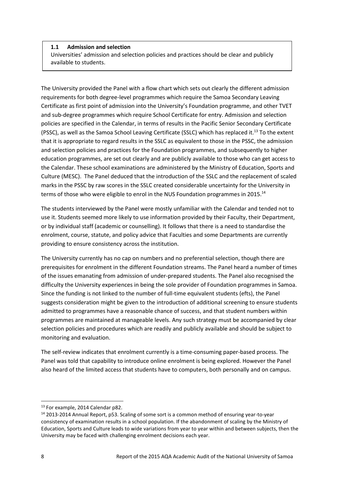## **1.1 Admission and selection**

Universities' admission and selection policies and practices should be clear and publicly available to students.

The University provided the Panel with a flow chart which sets out clearly the different admission requirements for both degree-level programmes which require the Samoa Secondary Leaving Certificate as first point of admission into the University's Foundation programme, and other TVET and sub-degree programmes which require School Certificate for entry. Admission and selection policies are specified in the Calendar, in terms of results in the Pacific Senior Secondary Certificate (PSSC), as well as the Samoa School Leaving Certificate (SSLC) which has replaced it.<sup>13</sup> To the extent that it is appropriate to regard results in the SSLC as equivalent to those in the PSSC, the admission and selection policies and practices for the Foundation programmes, and subsequently to higher education programmes, are set out clearly and are publicly available to those who can get access to the Calendar. These school examinations are administered by the Ministry of Education, Sports and Culture (MESC). The Panel deduced that the introduction of the SSLC and the replacement of scaled marks in the PSSC by raw scores in the SSLC created considerable uncertainty for the University in terms of those who were eligible to enrol in the NUS Foundation programmes in 2015.<sup>14</sup>

The students interviewed by the Panel were mostly unfamiliar with the Calendar and tended not to use it. Students seemed more likely to use information provided by their Faculty, their Department, or by individual staff (academic or counselling). It follows that there is a need to standardise the enrolment, course, statute, and policy advice that Faculties and some Departments are currently providing to ensure consistency across the institution.

The University currently has no cap on numbers and no preferential selection, though there are prerequisites for enrolment in the different Foundation streams. The Panel heard a number of times of the issues emanating from admission of under-prepared students. The Panel also recognised the difficulty the University experiences in being the sole provider of Foundation programmes in Samoa. Since the funding is not linked to the number of full-time equivalent students (efts), the Panel suggests consideration might be given to the introduction of additional screening to ensure students admitted to programmes have a reasonable chance of success, and that student numbers within programmes are maintained at manageable levels. Any such strategy must be accompanied by clear selection policies and procedures which are readily and publicly available and should be subject to monitoring and evaluation.

The self-review indicates that enrolment currently is a time-consuming paper-based process. The Panel was told that capability to introduce online enrolment is being explored. However the Panel also heard of the limited access that students have to computers, both personally and on campus.

 $\overline{a}$ 

<sup>&</sup>lt;sup>13</sup> For example, 2014 Calendar p82.

<sup>14</sup> 2013-2014 Annual Report, p53. Scaling of some sort is a common method of ensuring year-to-year consistency of examination results in a school population. If the abandonment of scaling by the Ministry of Education, Sports and Culture leads to wide variations from year to year within and between subjects, then the University may be faced with challenging enrolment decisions each year.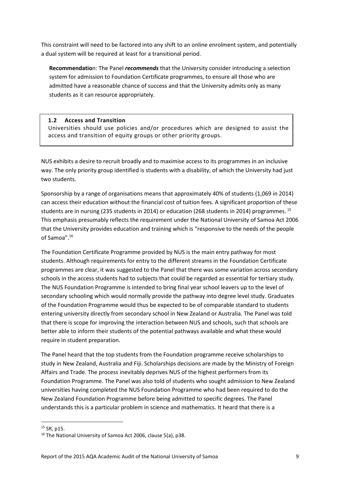This constraint will need to be factored into any shift to an online enrolment system, and potentially a dual system will be required at least for a transitional period.

**Recommendatio**n: The Panel *recommends* that the University consider introducing a selection system for admission to Foundation Certificate programmes, to ensure all those who are admitted have a reasonable chance of success and that the University admits only as many students as it can resource appropriately.

## **1.2 Access and Transition**

Universities should use policies and/or procedures which are designed to assist the access and transition of equity groups or other priority groups.

NUS exhibits a desire to recruit broadly and to maximise access to its programmes in an inclusive way. The only priority group identified is students with a disability, of which the University had just two students.

Sponsorship by a range of organisations means that approximately 40% of students (1,069 in 2014) can access their education without the financial cost of tuition fees. A significant proportion of these students are in nursing (235 students in 2014) or education (268 students in 2014) programmes. 15 This emphasis presumably reflects the requirement under the National University of Samoa Act 2006 that the University provides education and training which is "responsive to the needs of the people of Samoa".<sup>16</sup>

The Foundation Certificate Programme provided by NUS is the main entry pathway for most students. Although requirements for entry to the different streams in the Foundation Certificate programmes are clear, it was suggested to the Panel that there was some variation across secondary schools in the access students had to subjects that could be regarded as essential for tertiary study. The NUS Foundation Programme is intended to bring final year school leavers up to the level of secondary schooling which would normally provide the pathway into degree level study. Graduates of the Foundation Programme would thus be expected to be of comparable standard to students entering university directly from secondary school in New Zealand or Australia. The Panel was told that there is scope for improving the interaction between NUS and schools, such that schools are better able to inform their students of the potential pathways available and what these would require in student preparation.

The Panel heard that the top students from the Foundation programme receive scholarships to study in New Zealand, Australia and Fiji. Scholarships decisions are made by the Ministry of Foreign Affairs and Trade. The process inevitably deprives NUS of the highest performers from its Foundation Programme. The Panel was also told of students who sought admission to New Zealand universities having completed the NUS Foundation Programme who had been required to do the New Zealand Foundation Programme before being admitted to specific degrees. The Panel understands this is a particular problem in science and mathematics. It heard that there is a

<sup>&</sup>lt;sup>15</sup> SR, p15.

<sup>16</sup> The National University of Samoa Act 2006, clause 5(a), p38.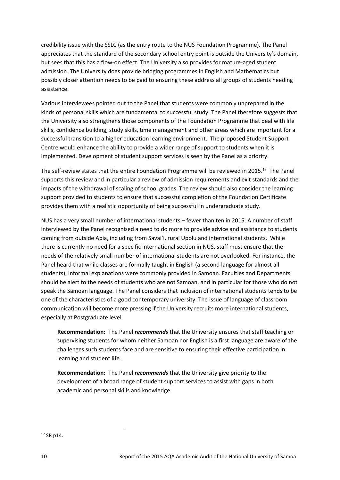credibility issue with the SSLC (as the entry route to the NUS Foundation Programme). The Panel appreciates that the standard of the secondary school entry point is outside the University's domain, but sees that this has a flow-on effect. The University also provides for mature-aged student admission. The University does provide bridging programmes in English and Mathematics but possibly closer attention needs to be paid to ensuring these address all groups of students needing assistance.

Various interviewees pointed out to the Panel that students were commonly unprepared in the kinds of personal skills which are fundamental to successful study. The Panel therefore suggests that the University also strengthens those components of the Foundation Programme that deal with life skills, confidence building, study skills, time management and other areas which are important for a successful transition to a higher education learning environment. The proposed Student Support Centre would enhance the ability to provide a wider range of support to students when it is implemented. Development of student support services is seen by the Panel as a priority.

The self-review states that the entire Foundation Programme will be reviewed in 2015.<sup>17</sup> The Panel supports this review and in particular a review of admission requirements and exit standards and the impacts of the withdrawal of scaling of school grades. The review should also consider the learning support provided to students to ensure that successful completion of the Foundation Certificate provides them with a realistic opportunity of being successful in undergraduate study.

NUS has a very small number of international students – fewer than ten in 2015. A number of staff interviewed by the Panel recognised a need to do more to provide advice and assistance to students coming from outside Apia, including from Savai'i, rural Upolu and international students. While there is currently no need for a specific international section in NUS, staff must ensure that the needs of the relatively small number of international students are not overlooked. For instance, the Panel heard that while classes are formally taught in English (a second language for almost all students), informal explanations were commonly provided in Samoan. Faculties and Departments should be alert to the needs of students who are not Samoan, and in particular for those who do not speak the Samoan language. The Panel considers that inclusion of international students tends to be one of the characteristics of a good contemporary university. The issue of language of classroom communication will become more pressing if the University recruits more international students, especially at Postgraduate level.

**Recommendation:** The Panel *recommends* that the University ensures that staff teaching or supervising students for whom neither Samoan nor English is a first language are aware of the challenges such students face and are sensitive to ensuring their effective participation in learning and student life.

**Recommendation:** The Panel *recommends* that the University give priority to the development of a broad range of student support services to assist with gaps in both academic and personal skills and knowledge.

 $17$  SR p14.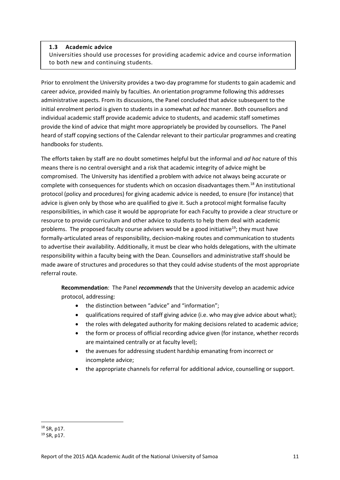## **1.3 Academic advice**

Universities should use processes for providing academic advice and course information to both new and continuing students.

Prior to enrolment the University provides a two-day programme for students to gain academic and career advice, provided mainly by faculties. An orientation programme following this addresses administrative aspects. From its discussions, the Panel concluded that advice subsequent to the initial enrolment period is given to students in a somewhat *ad hoc* manner. Both counsellors and individual academic staff provide academic advice to students, and academic staff sometimes provide the kind of advice that might more appropriately be provided by counsellors. The Panel heard of staff copying sections of the Calendar relevant to their particular programmes and creating handbooks for students.

The efforts taken by staff are no doubt sometimes helpful but the informal and *ad hoc* nature of this means there is no central oversight and a risk that academic integrity of advice might be compromised. The University has identified a problem with advice not always being accurate or complete with consequences for students which on occasion disadvantages them.<sup>18</sup> An institutional protocol (policy and procedures) for giving academic advice is needed, to ensure (for instance) that advice is given only by those who are qualified to give it. Such a protocol might formalise faculty responsibilities, in which case it would be appropriate for each Faculty to provide a clear structure or resource to provide curriculum and other advice to students to help them deal with academic problems. The proposed faculty course advisers would be a good initiative<sup>19</sup>; they must have formally-articulated areas of responsibility, decision-making routes and communication to students to advertise their availability. Additionally, it must be clear who holds delegations, with the ultimate responsibility within a faculty being with the Dean. Counsellors and administrative staff should be made aware of structures and procedures so that they could advise students of the most appropriate referral route.

**Recommendation**: The Panel *recommends* that the University develop an academic advice protocol, addressing:

- the distinction between "advice" and "information";
- qualifications required of staff giving advice (i.e. who may give advice about what);
- the roles with delegated authority for making decisions related to academic advice;
- the form or process of official recording advice given (for instance, whether records are maintained centrally or at faculty level);
- the avenues for addressing student hardship emanating from incorrect or incomplete advice;
- the appropriate channels for referral for additional advice, counselling or support.

**<sup>.</sup>** <sup>18</sup> SR, p17.

<sup>19</sup> SR, p17.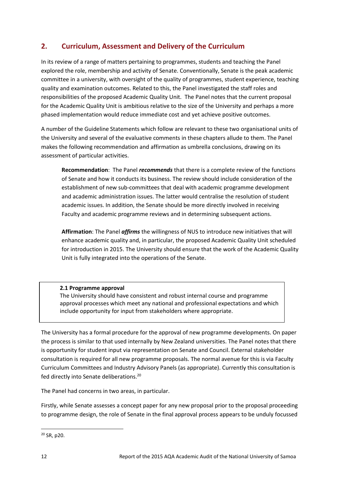## <span id="page-18-0"></span>**2. Curriculum, Assessment and Delivery of the Curriculum**

In its review of a range of matters pertaining to programmes, students and teaching the Panel explored the role, membership and activity of Senate. Conventionally, Senate is the peak academic committee in a university, with oversight of the quality of programmes, student experience, teaching quality and examination outcomes. Related to this, the Panel investigated the staff roles and responsibilities of the proposed Academic Quality Unit. The Panel notes that the current proposal for the Academic Quality Unit is ambitious relative to the size of the University and perhaps a more phased implementation would reduce immediate cost and yet achieve positive outcomes.

A number of the Guideline Statements which follow are relevant to these two organisational units of the University and several of the evaluative comments in these chapters allude to them. The Panel makes the following recommendation and affirmation as umbrella conclusions, drawing on its assessment of particular activities.

**Recommendation**: The Panel *recommends* that there is a complete review of the functions of Senate and how it conducts its business. The review should include consideration of the establishment of new sub-committees that deal with academic programme development and academic administration issues. The latter would centralise the resolution of student academic issues. In addition, the Senate should be more directly involved in receiving Faculty and academic programme reviews and in determining subsequent actions.

**Affirmation**: The Panel *affirms* the willingness of NUS to introduce new initiatives that will enhance academic quality and, in particular, the proposed Academic Quality Unit scheduled for introduction in 2015. The University should ensure that the work of the Academic Quality Unit is fully integrated into the operations of the Senate.

## **2.1 Programme approval**

The University should have consistent and robust internal course and programme approval processes which meet any national and professional expectations and which include opportunity for input from stakeholders where appropriate.

The University has a formal procedure for the approval of new programme developments. On paper the process is similar to that used internally by New Zealand universities. The Panel notes that there is opportunity for student input via representation on Senate and Council. External stakeholder consultation is required for all new programme proposals. The normal avenue for this is via Faculty Curriculum Committees and Industry Advisory Panels (as appropriate). Currently this consultation is fed directly into Senate deliberations.<sup>20</sup>

The Panel had concerns in two areas, in particular.

Firstly, while Senate assesses a concept paper for any new proposal prior to the proposal proceeding to programme design, the role of Senate in the final approval process appears to be unduly focussed

 $20$  SR, p20.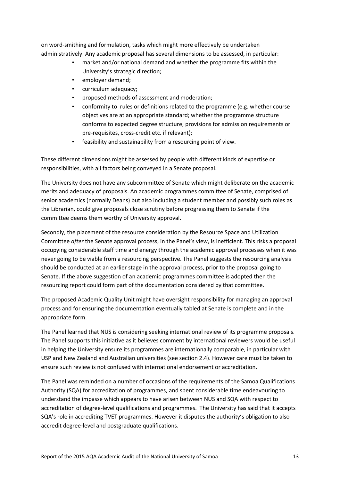on word-smithing and formulation, tasks which might more effectively be undertaken administratively. Any academic proposal has several dimensions to be assessed, in particular:

- market and/or national demand and whether the programme fits within the University's strategic direction;
- employer demand;
- curriculum adequacy;
- proposed methods of assessment and moderation;
- conformity to rules or definitions related to the programme (e.g. whether course objectives are at an appropriate standard; whether the programme structure conforms to expected degree structure; provisions for admission requirements or pre-requisites, cross-credit etc. if relevant);
- feasibility and sustainability from a resourcing point of view.

These different dimensions might be assessed by people with different kinds of expertise or responsibilities, with all factors being conveyed in a Senate proposal.

The University does not have any subcommittee of Senate which might deliberate on the academic merits and adequacy of proposals. An academic programmes committee of Senate, comprised of senior academics (normally Deans) but also including a student member and possibly such roles as the Librarian, could give proposals close scrutiny before progressing them to Senate if the committee deems them worthy of University approval.

Secondly, the placement of the resource consideration by the Resource Space and Utilization Committee *after* the Senate approval process, in the Panel's view, is inefficient. This risks a proposal occupying considerable staff time and energy through the academic approval processes when it was never going to be viable from a resourcing perspective. The Panel suggests the resourcing analysis should be conducted at an earlier stage in the approval process, prior to the proposal going to Senate. If the above suggestion of an academic programmes committee is adopted then the resourcing report could form part of the documentation considered by that committee.

The proposed Academic Quality Unit might have oversight responsibility for managing an approval process and for ensuring the documentation eventually tabled at Senate is complete and in the appropriate form.

The Panel learned that NUS is considering seeking international review of its programme proposals. The Panel supports this initiative as it believes comment by international reviewers would be useful in helping the University ensure its programmes are internationally comparable, in particular with USP and New Zealand and Australian universities (see section 2.4). However care must be taken to ensure such review is not confused with international endorsement or accreditation.

The Panel was reminded on a number of occasions of the requirements of the Samoa Qualifications Authority (SQA) for accreditation of programmes, and spent considerable time endeavouring to understand the impasse which appears to have arisen between NUS and SQA with respect to accreditation of degree-level qualifications and programmes. The University has said that it accepts SQA's role in accrediting TVET programmes. However it disputes the authority's obligation to also accredit degree-level and postgraduate qualifications.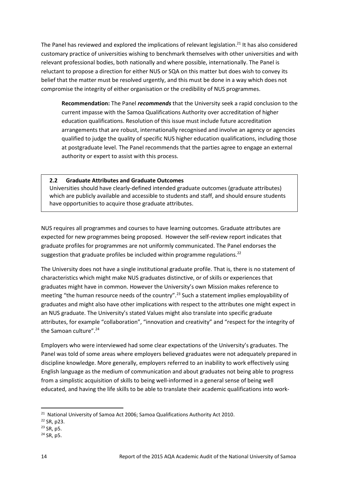The Panel has reviewed and explored the implications of relevant legislation.<sup>21</sup> It has also considered customary practice of universities wishing to benchmark themselves with other universities and with relevant professional bodies, both nationally and where possible, internationally. The Panel is reluctant to propose a direction for either NUS or SQA on this matter but does wish to convey its belief that the matter must be resolved urgently, and this must be done in a way which does not compromise the integrity of either organisation or the credibility of NUS programmes.

**Recommendation:** The Panel *recommends* that the University seek a rapid conclusion to the current impasse with the Samoa Qualifications Authority over accreditation of higher education qualifications. Resolution of this issue must include future accreditation arrangements that are robust, internationally recognised and involve an agency or agencies qualified to judge the quality of specific NUS higher education qualifications, including those at postgraduate level. The Panel recommends that the parties agree to engage an external authority or expert to assist with this process.

## **2.2 Graduate Attributes and Graduate Outcomes**

Universities should have clearly-defined intended graduate outcomes (graduate attributes) which are publicly available and accessible to students and staff, and should ensure students have opportunities to acquire those graduate attributes.

NUS requires all programmes and courses to have learning outcomes. Graduate attributes are expected for new programmes being proposed. However the self-review report indicates that graduate profiles for programmes are not uniformly communicated. The Panel endorses the suggestion that graduate profiles be included within programme regulations.<sup>22</sup>

The University does not have a single institutional graduate profile. That is, there is no statement of characteristics which might make NUS graduates distinctive, or of skills or experiences that graduates might have in common. However the University's own Mission makes reference to meeting "the human resource needs of the country".<sup>23</sup> Such a statement implies employability of graduates and might also have other implications with respect to the attributes one might expect in an NUS graduate. The University's stated Values might also translate into specific graduate attributes, for example "collaboration", "innovation and creativity" and "respect for the integrity of the Samoan culture".<sup>24</sup>

Employers who were interviewed had some clear expectations of the University's graduates. The Panel was told of some areas where employers believed graduates were not adequately prepared in discipline knowledge. More generally, employers referred to an inability to work effectively using English language as the medium of communication and about graduates not being able to progress from a simplistic acquisition of skills to being well-informed in a general sense of being well educated, and having the life skills to be able to translate their academic qualifications into work-

 $24$  SR, p<sub>5</sub>.

<sup>&</sup>lt;sup>21</sup> National University of Samoa Act 2006; Samoa Qualifications Authority Act 2010.

<sup>22</sup> SR, p23.

<sup>23</sup> SR, p5.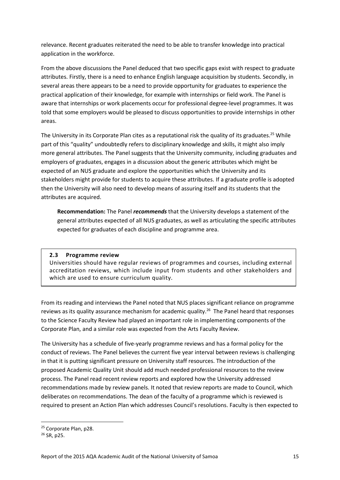relevance. Recent graduates reiterated the need to be able to transfer knowledge into practical application in the workforce.

From the above discussions the Panel deduced that two specific gaps exist with respect to graduate attributes. Firstly, there is a need to enhance English language acquisition by students. Secondly, in several areas there appears to be a need to provide opportunity for graduates to experience the practical application of their knowledge, for example with internships or field work. The Panel is aware that internships or work placements occur for professional degree-level programmes. It was told that some employers would be pleased to discuss opportunities to provide internships in other areas.

The University in its Corporate Plan cites as a reputational risk the quality of its graduates.<sup>25</sup> While part of this "quality" undoubtedly refers to disciplinary knowledge and skills, it might also imply more general attributes. The Panel suggests that the University community, including graduates and employers of graduates, engages in a discussion about the generic attributes which might be expected of an NUS graduate and explore the opportunities which the University and its stakeholders might provide for students to acquire these attributes. If a graduate profile is adopted then the University will also need to develop means of assuring itself and its students that the attributes are acquired.

**Recommendation:** The Panel *recommends* that the University develops a statement of the general attributes expected of all NUS graduates, as well as articulating the specific attributes expected for graduates of each discipline and programme area.

## **2.3 Programme review**

Universities should have regular reviews of programmes and courses, including external accreditation reviews, which include input from students and other stakeholders and which are used to ensure curriculum quality.

From its reading and interviews the Panel noted that NUS places significant reliance on programme reviews as its quality assurance mechanism for academic quality.<sup>26</sup> The Panel heard that responses to the Science Faculty Review had played an important role in implementing components of the Corporate Plan, and a similar role was expected from the Arts Faculty Review.

The University has a schedule of five-yearly programme reviews and has a formal policy for the conduct of reviews. The Panel believes the current five year interval between reviews is challenging in that it is putting significant pressure on University staff resources. The introduction of the proposed Academic Quality Unit should add much needed professional resources to the review process. The Panel read recent review reports and explored how the University addressed recommendations made by review panels. It noted that review reports are made to Council, which deliberates on recommendations. The dean of the faculty of a programme which is reviewed is required to present an Action Plan which addresses Council's resolutions. Faculty is then expected to

<sup>&</sup>lt;sup>25</sup> Corporate Plan, p28.

 $26$  SR, p<sub>25</sub>.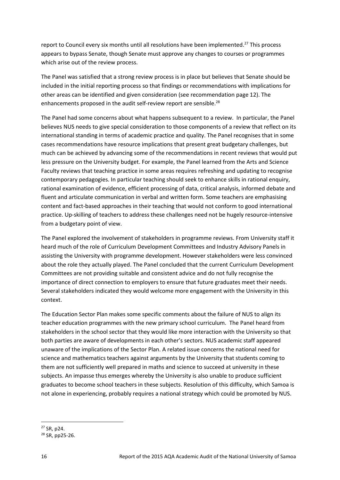report to Council every six months until all resolutions have been implemented.<sup>27</sup> This process appears to bypass Senate, though Senate must approve any changes to courses or programmes which arise out of the review process.

The Panel was satisfied that a strong review process is in place but believes that Senate should be included in the initial reporting process so that findings or recommendations with implications for other areas can be identified and given consideration (see recommendation page 12). The enhancements proposed in the audit self-review report are sensible.<sup>28</sup>

The Panel had some concerns about what happens subsequent to a review. In particular, the Panel believes NUS needs to give special consideration to those components of a review that reflect on its international standing in terms of academic practice and quality. The Panel recognises that in some cases recommendations have resource implications that present great budgetary challenges, but much can be achieved by advancing some of the recommendations in recent reviews that would put less pressure on the University budget. For example, the Panel learned from the Arts and Science Faculty reviews that teaching practice in some areas requires refreshing and updating to recognise contemporary pedagogies. In particular teaching should seek to enhance skills in rational enquiry, rational examination of evidence, efficient processing of data, critical analysis, informed debate and fluent and articulate communication in verbal and written form. Some teachers are emphasising content and fact-based approaches in their teaching that would not conform to good international practice. Up-skilling of teachers to address these challenges need not be hugely resource-intensive from a budgetary point of view.

The Panel explored the involvement of stakeholders in programme reviews. From University staff it heard much of the role of Curriculum Development Committees and Industry Advisory Panels in assisting the University with programme development. However stakeholders were less convinced about the role they actually played. The Panel concluded that the current Curriculum Development Committees are not providing suitable and consistent advice and do not fully recognise the importance of direct connection to employers to ensure that future graduates meet their needs. Several stakeholders indicated they would welcome more engagement with the University in this context.

The Education Sector Plan makes some specific comments about the failure of NUS to align its teacher education programmes with the new primary school curriculum. The Panel heard from stakeholders in the school sector that they would like more interaction with the University so that both parties are aware of developments in each other's sectors. NUS academic staff appeared unaware of the implications of the Sector Plan. A related issue concerns the national need for science and mathematics teachers against arguments by the University that students coming to them are not sufficiently well prepared in maths and science to succeed at university in these subjects. An impasse thus emerges whereby the University is also unable to produce sufficient graduates to become school teachers in these subjects. Resolution of this difficulty, which Samoa is not alone in experiencing, probably requires a national strategy which could be promoted by NUS.

<sup>27</sup> SR, p24.

<sup>28</sup> SR, pp25-26.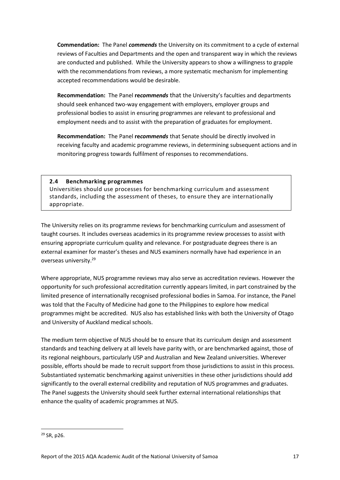**Commendation:** The Panel *commends* the University on its commitment to a cycle of external reviews of Faculties and Departments and the open and transparent way in which the reviews are conducted and published. While the University appears to show a willingness to grapple with the recommendations from reviews, a more systematic mechanism for implementing accepted recommendations would be desirable.

**Recommendation:** The Panel **re***commends* that the University's faculties and departments should seek enhanced two-way engagement with employers, employer groups and professional bodies to assist in ensuring programmes are relevant to professional and employment needs and to assist with the preparation of graduates for employment.

**Recommendation:** The Panel **re***commends* that Senate should be directly involved in receiving faculty and academic programme reviews, in determining subsequent actions and in monitoring progress towards fulfilment of responses to recommendations.

## **2.4 Benchmarking programmes**

Universities should use processes for benchmarking curriculum and assessment standards, including the assessment of theses, to ensure they are internationally appropriate.

The University relies on its programme reviews for benchmarking curriculum and assessment of taught courses. It includes overseas academics in its programme review processes to assist with ensuring appropriate curriculum quality and relevance. For postgraduate degrees there is an external examiner for master's theses and NUS examiners normally have had experience in an overseas university. 29

Where appropriate, NUS programme reviews may also serve as accreditation reviews. However the opportunity for such professional accreditation currently appears limited, in part constrained by the limited presence of internationally recognised professional bodies in Samoa. For instance, the Panel was told that the Faculty of Medicine had gone to the Philippines to explore how medical programmes might be accredited. NUS also has established links with both the University of Otago and University of Auckland medical schools.

The medium term objective of NUS should be to ensure that its curriculum design and assessment standards and teaching delivery at all levels have parity with, or are benchmarked against, those of its regional neighbours, particularly USP and Australian and New Zealand universities. Wherever possible, efforts should be made to recruit support from those jurisdictions to assist in this process. Substantiated systematic benchmarking against universities in these other jurisdictions should add significantly to the overall external credibility and reputation of NUS programmes and graduates. The Panel suggests the University should seek further external international relationships that enhance the quality of academic programmes at NUS.

<sup>29</sup> SR, p26.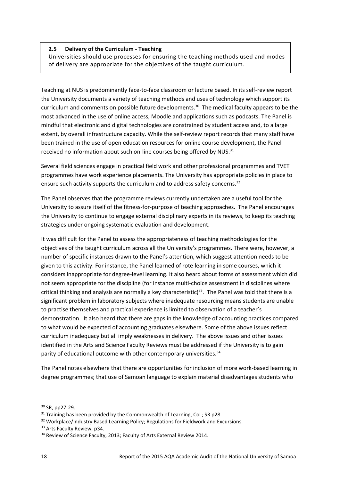## **2.5 Delivery of the Curriculum - Teaching**

Universities should use processes for ensuring the teaching methods used and modes of delivery are appropriate for the objectives of the taught curriculum.

Teaching at NUS is predominantly face-to-face classroom or lecture based. In its self-review report the University documents a variety of teaching methods and uses of technology which support its curriculum and comments on possible future developments.<sup>30</sup> The medical faculty appears to be the most advanced in the use of online access, Moodle and applications such as podcasts. The Panel is mindful that electronic and digital technologies are constrained by student access and, to a large extent, by overall infrastructure capacity. While the self-review report records that many staff have been trained in the use of open education resources for online course development, the Panel received no information about such on-line courses being offered by NUS.<sup>31</sup>

Several field sciences engage in practical field work and other professional programmes and TVET programmes have work experience placements. The University has appropriate policies in place to ensure such activity supports the curriculum and to address safety concerns.<sup>32</sup>

The Panel observes that the programme reviews currently undertaken are a useful tool for the University to assure itself of the fitness-for-purpose of teaching approaches. The Panel encourages the University to continue to engage external disciplinary experts in its reviews, to keep its teaching strategies under ongoing systematic evaluation and development.

It was difficult for the Panel to assess the appropriateness of teaching methodologies for the objectives of the taught curriculum across all the University's programmes. There were, however, a number of specific instances drawn to the Panel's attention, which suggest attention needs to be given to this activity. For instance, the Panel learned of rote learning in some courses, which it considers inappropriate for degree-level learning. It also heard about forms of assessment which did not seem appropriate for the discipline (for instance multi-choice assessment in disciplines where critical thinking and analysis are normally a key characteristic)<sup>33</sup>. The Panel was told that there is a significant problem in laboratory subjects where inadequate resourcing means students are unable to practise themselves and practical experience is limited to observation of a teacher's demonstration. It also heard that there are gaps in the knowledge of accounting practices compared to what would be expected of accounting graduates elsewhere. Some of the above issues reflect curriculum inadequacy but all imply weaknesses in delivery. The above issues and other issues identified in the Arts and Science Faculty Reviews must be addressed if the University is to gain parity of educational outcome with other contemporary universities.<sup>34</sup>

The Panel notes elsewhere that there are opportunities for inclusion of more work-based learning in degree programmes; that use of Samoan language to explain material disadvantages students who

 $\overline{a}$ 

<sup>30</sup> SR, pp27-29.

 $31$  Training has been provided by the Commonwealth of Learning, CoL; SR p28.

<sup>32</sup> Workplace/Industry Based Learning Policy; Regulations for Fieldwork and Excursions.

<sup>&</sup>lt;sup>33</sup> Arts Faculty Review, p34.

<sup>&</sup>lt;sup>34</sup> Review of Science Faculty, 2013; Faculty of Arts External Review 2014.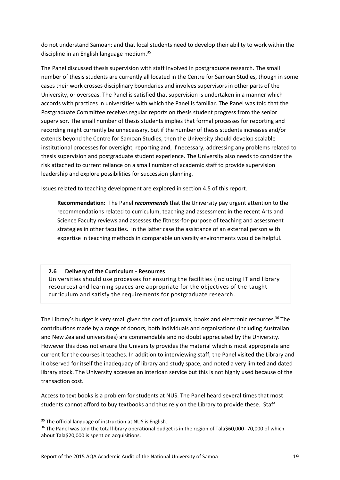do not understand Samoan; and that local students need to develop their ability to work within the discipline in an English language medium.<sup>35</sup>

The Panel discussed thesis supervision with staff involved in postgraduate research. The small number of thesis students are currently all located in the Centre for Samoan Studies, though in some cases their work crosses disciplinary boundaries and involves supervisors in other parts of the University, or overseas. The Panel is satisfied that supervision is undertaken in a manner which accords with practices in universities with which the Panel is familiar. The Panel was told that the Postgraduate Committee receives regular reports on thesis student progress from the senior supervisor. The small number of thesis students implies that formal processes for reporting and recording might currently be unnecessary, but if the number of thesis students increases and/or extends beyond the Centre for Samoan Studies, then the University should develop scalable institutional processes for oversight, reporting and, if necessary, addressing any problems related to thesis supervision and postgraduate student experience. The University also needs to consider the risk attached to current reliance on a small number of academic staff to provide supervision leadership and explore possibilities for succession planning.

Issues related to teaching development are explored in section 4.5 of this report.

**Recommendation:** The Panel *recommends* that the University pay urgent attention to the recommendations related to curriculum, teaching and assessment in the recent Arts and Science Faculty reviews and assesses the fitness-for-purpose of teaching and assessment strategies in other faculties. In the latter case the assistance of an external person with expertise in teaching methods in comparable university environments would be helpful.

## **2.6 Delivery of the Curriculum - Resources**

Universities should use processes for ensuring the facilities (including IT and library resources) and learning spaces are appropriate for the objectives of the taught curriculum and satisfy the requirements for postgraduate research.

The Library's budget is very small given the cost of journals, books and electronic resources.<sup>36</sup> The contributions made by a range of donors, both individuals and organisations (including Australian and New Zealand universities) are commendable and no doubt appreciated by the University. However this does not ensure the University provides the material which is most appropriate and current for the courses it teaches. In addition to interviewing staff, the Panel visited the Library and it observed for itself the inadequacy of library and study space, and noted a very limited and dated library stock. The University accesses an interloan service but this is not highly used because of the transaction cost.

Access to text books is a problem for students at NUS. The Panel heard several times that most students cannot afford to buy textbooks and thus rely on the Library to provide these. Staff

<sup>&</sup>lt;sup>35</sup> The official language of instruction at NUS is English.

<sup>&</sup>lt;sup>36</sup> The Panel was told the total library operational budget is in the region of Tala\$60,000-70,000 of which about Tala\$20,000 is spent on acquisitions.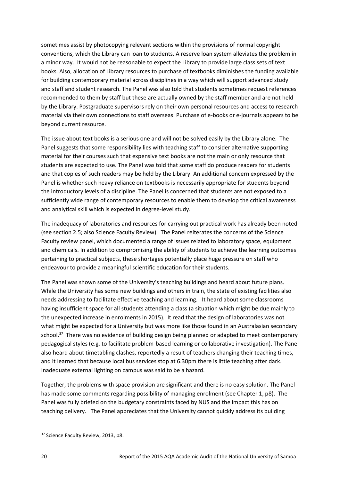sometimes assist by photocopying relevant sections within the provisions of normal copyright conventions, which the Library can loan to students. A reserve loan system alleviates the problem in a minor way. It would not be reasonable to expect the Library to provide large class sets of text books. Also, allocation of Library resources to purchase of textbooks diminishes the funding available for building contemporary material across disciplines in a way which will support advanced study and staff and student research. The Panel was also told that students sometimes request references recommended to them by staff but these are actually owned by the staff member and are not held by the Library. Postgraduate supervisors rely on their own personal resources and access to research material via their own connections to staff overseas. Purchase of e-books or e-journals appears to be beyond current resource.

The issue about text books is a serious one and will not be solved easily by the Library alone. The Panel suggests that some responsibility lies with teaching staff to consider alternative supporting material for their courses such that expensive text books are not the main or only resource that students are expected to use. The Panel was told that some staff do produce readers for students and that copies of such readers may be held by the Library. An additional concern expressed by the Panel is whether such heavy reliance on textbooks is necessarily appropriate for students beyond the introductory levels of a discipline. The Panel is concerned that students are not exposed to a sufficiently wide range of contemporary resources to enable them to develop the critical awareness and analytical skill which is expected in degree-level study.

The inadequacy of laboratories and resources for carrying out practical work has already been noted (see section 2.5; also Science Faculty Review). The Panel reiterates the concerns of the Science Faculty review panel, which documented a range of issues related to laboratory space, equipment and chemicals. In addition to compromising the ability of students to achieve the learning outcomes pertaining to practical subjects, these shortages potentially place huge pressure on staff who endeavour to provide a meaningful scientific education for their students.

The Panel was shown some of the University's teaching buildings and heard about future plans. While the University has some new buildings and others in train, the state of existing facilities also needs addressing to facilitate effective teaching and learning. It heard about some classrooms having insufficient space for all students attending a class (a situation which might be due mainly to the unexpected increase in enrolments in 2015). It read that the design of laboratories was not what might be expected for a University but was more like those found in an Australasian secondary school.<sup>37</sup> There was no evidence of building design being planned or adapted to meet contemporary pedagogical styles (e.g. to facilitate problem-based learning or collaborative investigation). The Panel also heard about timetabling clashes, reportedly a result of teachers changing their teaching times, and it learned that because local bus services stop at 6.30pm there is little teaching after dark. Inadequate external lighting on campus was said to be a hazard.

Together, the problems with space provision are significant and there is no easy solution. The Panel has made some comments regarding possibility of managing enrolment (see Chapter 1, p8). The Panel was fully briefed on the budgetary constraints faced by NUS and the impact this has on teaching delivery. The Panel appreciates that the University cannot quickly address its building

<sup>&</sup>lt;sup>37</sup> Science Faculty Review, 2013, p8.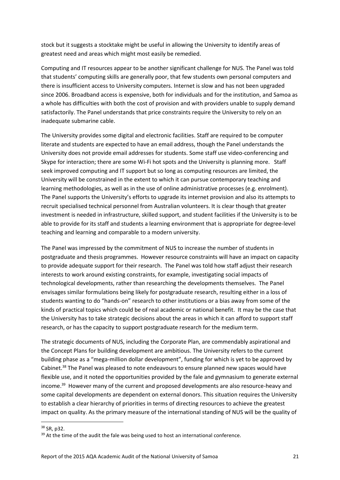stock but it suggests a stocktake might be useful in allowing the University to identify areas of greatest need and areas which might most easily be remedied.

Computing and IT resources appear to be another significant challenge for NUS. The Panel was told that students' computing skills are generally poor, that few students own personal computers and there is insufficient access to University computers. Internet is slow and has not been upgraded since 2006. Broadband access is expensive, both for individuals and for the institution, and Samoa as a whole has difficulties with both the cost of provision and with providers unable to supply demand satisfactorily. The Panel understands that price constraints require the University to rely on an inadequate submarine cable.

The University provides some digital and electronic facilities. Staff are required to be computer literate and students are expected to have an email address, though the Panel understands the University does not provide email addresses for students. Some staff use video-conferencing and Skype for interaction; there are some Wi-Fi hot spots and the University is planning more. Staff seek improved computing and IT support but so long as computing resources are limited, the University will be constrained in the extent to which it can pursue contemporary teaching and learning methodologies, as well as in the use of online administrative processes (e.g. enrolment). The Panel supports the University's efforts to upgrade its internet provision and also its attempts to recruit specialised technical personnel from Australian volunteers. It is clear though that greater investment is needed in infrastructure, skilled support, and student facilities if the University is to be able to provide for its staff and students a learning environment that is appropriate for degree-level teaching and learning and comparable to a modern university.

The Panel was impressed by the commitment of NUS to increase the number of students in postgraduate and thesis programmes. However resource constraints will have an impact on capacity to provide adequate support for their research. The Panel was told how staff adjust their research interests to work around existing constraints, for example, investigating social impacts of technological developments, rather than researching the developments themselves. The Panel envisages similar formulations being likely for postgraduate research, resulting either in a loss of students wanting to do "hands-on" research to other institutions or a bias away from some of the kinds of practical topics which could be of real academic or national benefit. It may be the case that the University has to take strategic decisions about the areas in which it can afford to support staff research, or has the capacity to support postgraduate research for the medium term.

The strategic documents of NUS, including the Corporate Plan, are commendably aspirational and the Concept Plans for building development are ambitious. The University refers to the current building phase as a "mega-million dollar development", funding for which is yet to be approved by Cabinet.<sup>38</sup> The Panel was pleased to note endeavours to ensure planned new spaces would have flexible use, and it noted the opportunities provided by the fale and gymnasium to generate external income.<sup>39</sup> However many of the current and proposed developments are also resource-heavy and some capital developments are dependent on external donors. This situation requires the University to establish a clear hierarchy of priorities in terms of directing resources to achieve the greatest impact on quality. As the primary measure of the international standing of NUS will be the quality of

<sup>38</sup> SR, p32.

 $39$  At the time of the audit the fale was being used to host an international conference.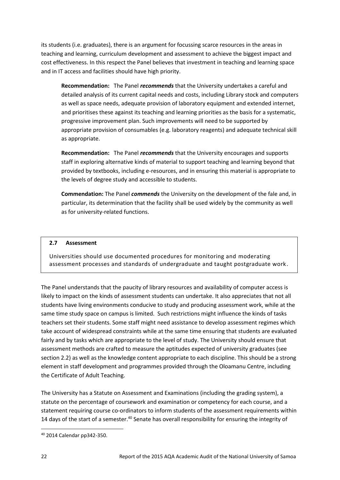its students (i.e. graduates), there is an argument for focussing scarce resources in the areas in teaching and learning, curriculum development and assessment to achieve the biggest impact and cost effectiveness. In this respect the Panel believes that investment in teaching and learning space and in IT access and facilities should have high priority.

**Recommendation:** The Panel *recommends* that the University undertakes a careful and detailed analysis of its current capital needs and costs, including Library stock and computers as well as space needs, adequate provision of laboratory equipment and extended internet, and prioritises these against its teaching and learning priorities as the basis for a systematic, progressive improvement plan. Such improvements will need to be supported by appropriate provision of consumables (e.g. laboratory reagents) and adequate technical skill as appropriate.

**Recommendation:** The Panel *recommends* that the University encourages and supports staff in exploring alternative kinds of material to support teaching and learning beyond that provided by textbooks, including e-resources, and in ensuring this material is appropriate to the levels of degree study and accessible to students.

**Commendation:** The Panel *commends* the University on the development of the fale and, in particular, its determination that the facility shall be used widely by the community as well as for university-related functions.

## **2.7 Assessment**

Universities should use documented procedures for monitoring and moderating assessment processes and standards of undergraduate and taught postgraduate work.

The Panel understands that the paucity of library resources and availability of computer access is likely to impact on the kinds of assessment students can undertake. It also appreciates that not all students have living environments conducive to study and producing assessment work, while at the same time study space on campus is limited. Such restrictions might influence the kinds of tasks teachers set their students. Some staff might need assistance to develop assessment regimes which take account of widespread constraints while at the same time ensuring that students are evaluated fairly and by tasks which are appropriate to the level of study. The University should ensure that assessment methods are crafted to measure the aptitudes expected of university graduates (see section 2.2) as well as the knowledge content appropriate to each discipline. This should be a strong element in staff development and programmes provided through the Oloamanu Centre, including the Certificate of Adult Teaching.

The University has a Statute on Assessment and Examinations (including the grading system), a statute on the percentage of coursework and examination or competency for each course, and a statement requiring course co-ordinators to inform students of the assessment requirements within 14 days of the start of a semester.<sup>40</sup> Senate has overall responsibility for ensuring the integrity of

<sup>40</sup> 2014 Calendar pp342-350.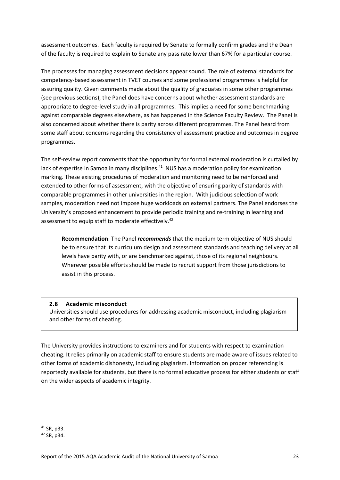assessment outcomes. Each faculty is required by Senate to formally confirm grades and the Dean of the faculty is required to explain to Senate any pass rate lower than 67% for a particular course.

The processes for managing assessment decisions appear sound. The role of external standards for competency-based assessment in TVET courses and some professional programmes is helpful for assuring quality. Given comments made about the quality of graduates in some other programmes (see previous sections), the Panel does have concerns about whether assessment standards are appropriate to degree-level study in all programmes. This implies a need for some benchmarking against comparable degrees elsewhere, as has happened in the Science Faculty Review. The Panel is also concerned about whether there is parity across different programmes. The Panel heard from some staff about concerns regarding the consistency of assessment practice and outcomes in degree programmes.

The self-review report comments that the opportunity for formal external moderation is curtailed by lack of expertise in Samoa in many disciplines.<sup>41</sup> NUS has a moderation policy for examination marking. These existing procedures of moderation and monitoring need to be reinforced and extended to other forms of assessment, with the objective of ensuring parity of standards with comparable programmes in other universities in the region. With judicious selection of work samples, moderation need not impose huge workloads on external partners. The Panel endorses the University's proposed enhancement to provide periodic training and re-training in learning and assessment to equip staff to moderate effectively.<sup>42</sup>

**Recommendation**: The Panel *recommends* that the medium term objective of NUS should be to ensure that its curriculum design and assessment standards and teaching delivery at all levels have parity with, or are benchmarked against, those of its regional neighbours. Wherever possible efforts should be made to recruit support from those jurisdictions to assist in this process.

## **2.8 Academic misconduct**

Universities should use procedures for addressing academic misconduct, including plagiarism and other forms of cheating.

The University provides instructions to examiners and for students with respect to examination cheating. It relies primarily on academic staff to ensure students are made aware of issues related to other forms of academic dishonesty, including plagiarism. Information on proper referencing is reportedly available for students, but there is no formal educative process for either students or staff on the wider aspects of academic integrity.

**<sup>.</sup>** <sup>41</sup> SR, p33.

<sup>42</sup> SR, p34.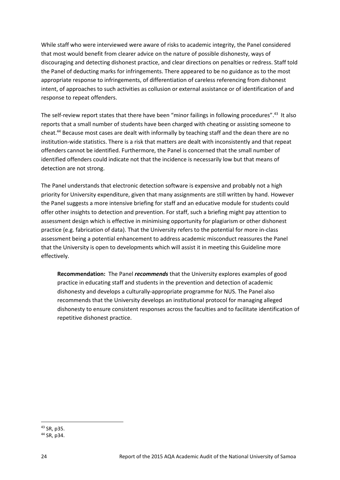While staff who were interviewed were aware of risks to academic integrity, the Panel considered that most would benefit from clearer advice on the nature of possible dishonesty, ways of discouraging and detecting dishonest practice, and clear directions on penalties or redress. Staff told the Panel of deducting marks for infringements. There appeared to be no guidance as to the most appropriate response to infringements, of differentiation of careless referencing from dishonest intent, of approaches to such activities as collusion or external assistance or of identification of and response to repeat offenders.

The self-review report states that there have been "minor failings in following procedures".<sup>43</sup> It also reports that a small number of students have been charged with cheating or assisting someone to cheat. <sup>44</sup> Because most cases are dealt with informally by teaching staff and the dean there are no institution-wide statistics. There is a risk that matters are dealt with inconsistently and that repeat offenders cannot be identified. Furthermore, the Panel is concerned that the small number of identified offenders could indicate not that the incidence is necessarily low but that means of detection are not strong.

The Panel understands that electronic detection software is expensive and probably not a high priority for University expenditure, given that many assignments are still written by hand. However the Panel suggests a more intensive briefing for staff and an educative module for students could offer other insights to detection and prevention. For staff, such a briefing might pay attention to assessment design which is effective in minimising opportunity for plagiarism or other dishonest practice (e.g. fabrication of data). That the University refers to the potential for more in-class assessment being a potential enhancement to address academic misconduct reassures the Panel that the University is open to developments which will assist it in meeting this Guideline more effectively.

**Recommendation:** The Panel *recommends* that the University explores examples of good practice in educating staff and students in the prevention and detection of academic dishonesty and develops a culturally-appropriate programme for NUS. The Panel also recommends that the University develops an institutional protocol for managing alleged dishonesty to ensure consistent responses across the faculties and to facilitate identification of repetitive dishonest practice.

**<sup>.</sup>** <sup>43</sup> SR, p35.

<sup>44</sup> SR, p34.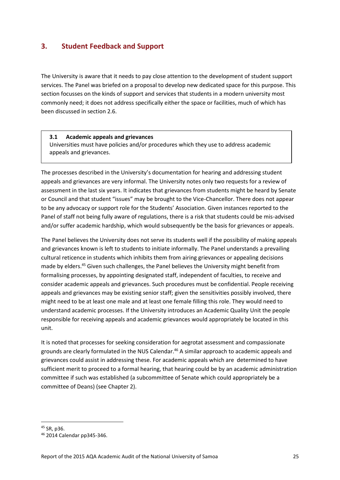## <span id="page-31-0"></span>**3. Student Feedback and Support**

The University is aware that it needs to pay close attention to the development of student support services. The Panel was briefed on a proposal to develop new dedicated space for this purpose. This section focusses on the kinds of support and services that students in a modern university most commonly need; it does not address specifically either the space or facilities, much of which has been discussed in section 2.6.

## **3.1 Academic appeals and grievances**

Universities must have policies and/or procedures which they use to address academic appeals and grievances.

The processes described in the University's documentation for hearing and addressing student appeals and grievances are very informal. The University notes only two requests for a review of .assessment in the last six years. It indicates that grievances from students might be heard by Senate or Council and that student "issues" may be brought to the Vice-Chancellor. There does not appear to be any advocacy or support role for the Students' Association. Given instances reported to the Panel of staff not being fully aware of regulations, there is a risk that students could be mis-advised and/or suffer academic hardship, which would subsequently be the basis for grievances or appeals.

The Panel believes the University does not serve its students well if the possibility of making appeals and grievances known is left to students to initiate informally. The Panel understands a prevailing cultural reticence in students which inhibits them from airing grievances or appealing decisions made by elders.<sup>45</sup> Given such challenges, the Panel believes the University might benefit from formalising processes, by appointing designated staff, independent of faculties, to receive and consider academic appeals and grievances. Such procedures must be confidential. People receiving appeals and grievances may be existing senior staff; given the sensitivities possibly involved, there might need to be at least one male and at least one female filling this role. They would need to understand academic processes. If the University introduces an Academic Quality Unit the people responsible for receiving appeals and academic grievances would appropriately be located in this unit.

It is noted that processes for seeking consideration for aegrotat assessment and compassionate grounds are clearly formulated in the NUS Calendar.<sup>46</sup> A similar approach to academic appeals and grievances could assist in addressing these. For academic appeals which are determined to have sufficient merit to proceed to a formal hearing, that hearing could be by an academic administration committee if such was established (a subcommittee of Senate which could appropriately be a committee of Deans) (see Chapter 2).

<sup>45</sup> SR, p36.

<sup>46</sup> 2014 Calendar pp345-346.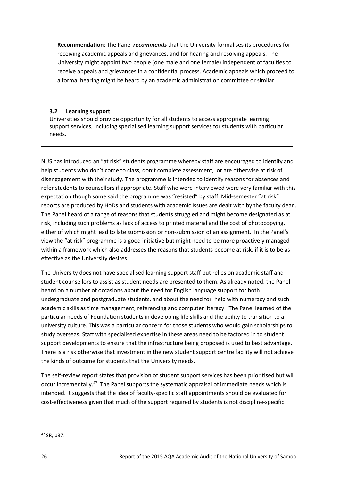**Recommendation**: The Panel *recommends* that the University formalises its procedures for receiving academic appeals and grievances, and for hearing and resolving appeals. The University might appoint two people (one male and one female) independent of faculties to receive appeals and grievances in a confidential process. Academic appeals which proceed to a formal hearing might be heard by an academic administration committee or similar.

## **3.2 Learning support**

Universities should provide opportunity for all students to access appropriate learning support services, including specialised learning support services for students with particular needs.

NUS has introduced an "at risk" students programme whereby staff are encouraged to identify and help students who don't come to class, don't complete assessment, or are otherwise at risk of disengagement with their study. The programme is intended to identify reasons for absences and refer students to counsellors if appropriate. Staff who were interviewed were very familiar with this expectation though some said the programme was "resisted" by staff. Mid-semester "at risk" reports are produced by HoDs and students with academic issues are dealt with by the faculty dean. The Panel heard of a range of reasons that students struggled and might become designated as at risk, including such problems as lack of access to printed material and the cost of photocopying, either of which might lead to late submission or non-submission of an assignment. In the Panel's view the "at risk" programme is a good initiative but might need to be more proactively managed within a framework which also addresses the reasons that students become at risk, if it is to be as effective as the University desires.

The University does not have specialised learning support staff but relies on academic staff and student counsellors to assist as student needs are presented to them. As already noted, the Panel heard on a number of occasions about the need for English language support for both undergraduate and postgraduate students, and about the need for help with numeracy and such academic skills as time management, referencing and computer literacy. The Panel learned of the particular needs of Foundation students in developing life skills and the ability to transition to a university culture. This was a particular concern for those students who would gain scholarships to study overseas. Staff with specialised expertise in these areas need to be factored in to student support developments to ensure that the infrastructure being proposed is used to best advantage. There is a risk otherwise that investment in the new student support centre facility will not achieve the kinds of outcome for students that the University needs.

The self-review report states that provision of student support services has been prioritised but will occur incrementally.<sup>47</sup> The Panel supports the systematic appraisal of immediate needs which is intended. It suggests that the idea of faculty-specific staff appointments should be evaluated for cost-effectiveness given that much of the support required by students is not discipline-specific.

**<sup>.</sup>** <sup>47</sup> SR, p37.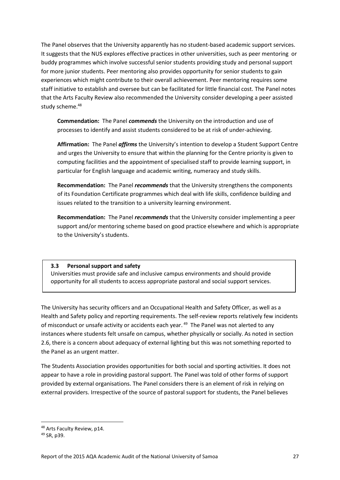The Panel observes that the University apparently has no student-based academic support services. It suggests that the NUS explores effective practices in other universities, such as peer mentoring or buddy programmes which involve successful senior students providing study and personal support for more junior students. Peer mentoring also provides opportunity for senior students to gain experiences which might contribute to their overall achievement. Peer mentoring requires some staff initiative to establish and oversee but can be facilitated for little financial cost. The Panel notes that the Arts Faculty Review also recommended the University consider developing a peer assisted study scheme.<sup>48</sup>

**Commendation:** The Panel *commends* the University on the introduction and use of processes to identify and assist students considered to be at risk of under-achieving.

**Affirmation:** The Panel *affirms* the University's intention to develop a Student Support Centre and urges the University to ensure that within the planning for the Centre priority is given to computing facilities and the appointment of specialised staff to provide learning support, in particular for English language and academic writing, numeracy and study skills.

**Recommendation:** The Panel *recommends* that the University strengthens the components of its Foundation Certificate programmes which deal with life skills, confidence building and issues related to the transition to a university learning environment.

**Recommendation:** The Panel *recommends* that the University consider implementing a peer support and/or mentoring scheme based on good practice elsewhere and which is appropriate to the University's students.

## **3.3 Personal support and safety**

Universities must provide safe and inclusive campus environments and should provide opportunity for all students to access appropriate pastoral and social support services.

The University has security officers and an Occupational Health and Safety Officer, as well as a Health and Safety policy and reporting requirements. The self-review reports relatively few incidents of misconduct or unsafe activity or accidents each year. <sup>49</sup> The Panel was not alerted to any instances where students felt unsafe on campus, whether physically or socially. As noted in section 2.6, there is a concern about adequacy of external lighting but this was not something reported to the Panel as an urgent matter. .

The Students Association provides opportunities for both social and sporting activities. It does not appear to have a role in providing pastoral support. The Panel was told of other forms of support provided by external organisations. The Panel considers there is an element of risk in relying on external providers. Irrespective of the source of pastoral support for students, the Panel believes

<sup>48</sup> Arts Faculty Review, p14.

<sup>49</sup> SR, p39.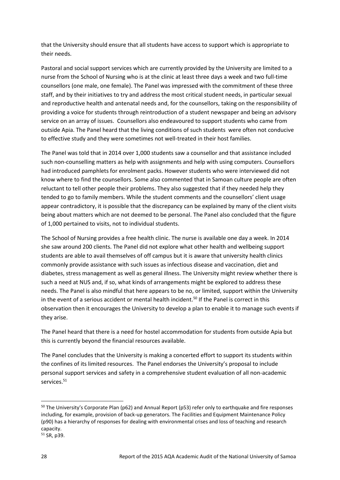that the University should ensure that all students have access to support which is appropriate to their needs.

Pastoral and social support services which are currently provided by the University are limited to a nurse from the School of Nursing who is at the clinic at least three days a week and two full-time counsellors (one male, one female). The Panel was impressed with the commitment of these three staff, and by their initiatives to try and address the most critical student needs, in particular sexual and reproductive health and antenatal needs and, for the counsellors, taking on the responsibility of providing a voice for students through reintroduction of a student newspaper and being an advisory service on an array of issues. Counsellors also endeavoured to support students who came from outside Apia. The Panel heard that the living conditions of such students were often not conducive to effective study and they were sometimes not well-treated in their host families.

The Panel was told that in 2014 over 1,000 students saw a counsellor and that assistance included such non-counselling matters as help with assignments and help with using computers. Counsellors had introduced pamphlets for enrolment packs. However students who were interviewed did not know where to find the counsellors. Some also commented that in Samoan culture people are often reluctant to tell other people their problems. They also suggested that if they needed help they tended to go to family members. While the student comments and the counsellors' client usage appear contradictory, it is possible that the discrepancy can be explained by many of the client visits being about matters which are not deemed to be personal. The Panel also concluded that the figure of 1,000 pertained to visits, not to individual students.

The School of Nursing provides a free health clinic. The nurse is available one day a week. In 2014 she saw around 200 clients. The Panel did not explore what other health and wellbeing support students are able to avail themselves of off campus but it is aware that university health clinics commonly provide assistance with such issues as infectious disease and vaccination, diet and diabetes, stress management as well as general illness. The University might review whether there is such a need at NUS and, if so, what kinds of arrangements might be explored to address these needs. The Panel is also mindful that here appears to be no, or limited, support within the University in the event of a serious accident or mental health incident. <sup>50</sup> If the Panel is correct in this observation then it encourages the University to develop a plan to enable it to manage such events if they arise.

The Panel heard that there is a need for hostel accommodation for students from outside Apia but this is currently beyond the financial resources available.

The Panel concludes that the University is making a concerted effort to support its students within the confines of its limited resources. The Panel endorses the University's proposal to include personal support services and safety in a comprehensive student evaluation of all non-academic services.<sup>51</sup>

 $\overline{a}$ 

<sup>&</sup>lt;sup>50</sup> The University's Corporate Plan (p62) and Annual Report (p53) refer only to earthquake and fire responses including, for example, provision of back-up generators. The Facilities and Equipment Maintenance Policy (p90) has a hierarchy of responses for dealing with environmental crises and loss of teaching and research capacity.

<sup>51</sup> SR, p39.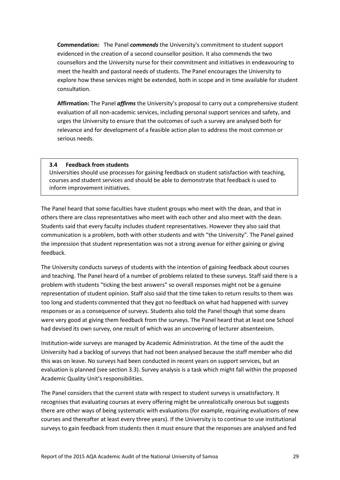**Commendation:** The Panel *commends* the University's commitment to student support evidenced in the creation of a second counsellor position. It also commends the two counsellors and the University nurse for their commitment and initiatives in endeavouring to meet the health and pastoral needs of students. The Panel encourages the University to explore how these services might be extended, both in scope and in time available for student consultation.

**Affirmation:** The Panel *affirms* the University's proposal to carry out a comprehensive student evaluation of all non-academic services, including personal support services and safety, and urges the University to ensure that the outcomes of such a survey are analysed both for relevance and for development of a feasible action plan to address the most common or serious needs.

#### **3.4 Feedback from students**

Universities should use processes for gaining feedback on student satisfaction with teaching, courses and student services and should be able to demonstrate that feedback is used to inform improvement initiatives.

The Panel heard that some faculties have student groups who meet with the dean, and that in others there are class representatives who meet with each other and also meet with the dean. Students said that every faculty includes student representatives. However they also said that communication is a problem, both with other students and with "the University". The Panel gained the impression that student representation was not a strong avenue for either gaining or giving feedback.

The University conducts surveys of students with the intention of gaining feedback about courses and teaching. The Panel heard of a number of problems related to these surveys. Staff said there is a problem with students "ticking the best answers" so overall responses might not be a genuine representation of student opinion. Staff also said that the time taken to return results to them was too long and students commented that they got no feedback on what had happened with survey responses or as a consequence of surveys. Students also told the Panel though that some deans were very good at giving them feedback from the surveys. The Panel heard that at least one School had devised its own survey, one result of which was an uncovering of lecturer absenteeism.

Institution-wide surveys are managed by Academic Administration. At the time of the audit the University had a backlog of surveys that had not been analysed because the staff member who did this was on leave. No surveys had been conducted in recent years on support services, but an evaluation is planned (see section 3.3). Survey analysis is a task which might fall within the proposed Academic Quality Unit's responsibilities.

The Panel considers that the current state with respect to student surveys is unsatisfactory. It recognises that evaluating courses at every offering might be unrealistically onerous but suggests there are other ways of being systematic with evaluations (for example, requiring evaluations of new courses and thereafter at least every three years). If the University is to continue to use institutional surveys to gain feedback from students then it must ensure that the responses are analysed and fed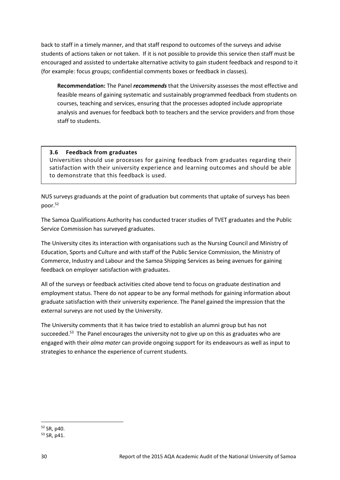back to staff in a timely manner, and that staff respond to outcomes of the surveys and advise students of actions taken or not taken. If it is not possible to provide this service then staff must be encouraged and assisted to undertake alternative activity to gain student feedback and respond to it (for example: focus groups; confidential comments boxes or feedback in classes).

**Recommendation:** The Panel *recommends* that the University assesses the most effective and feasible means of gaining systematic and sustainably programmed feedback from students on courses, teaching and services, ensuring that the processes adopted include appropriate analysis and avenues for feedback both to teachers and the service providers and from those staff to students.

## **3.6 Feedback from graduates**

Universities should use processes for gaining feedback from graduates regarding their satisfaction with their university experience and learning outcomes and should be able to demonstrate that this feedback is used.

NUS surveys graduands at the point of graduation but comments that uptake of surveys has been .poor.<sup>52</sup>

The Samoa Qualifications Authority has conducted tracer studies of TVET graduates and the Public Service Commission has surveyed graduates.

The University cites its interaction with organisations such as the Nursing Council and Ministry of Education, Sports and Culture and with staff of the Public Service Commission, the Ministry of Commerce, Industry and Labour and the Samoa Shipping Services as being avenues for gaining feedback on employer satisfaction with graduates.

All of the surveys or feedback activities cited above tend to focus on graduate destination and employment status. There do not appear to be any formal methods for gaining information about graduate satisfaction with their university experience. The Panel gained the impression that the external surveys are not used by the University.

The University comments that it has twice tried to establish an alumni group but has not succeeded.<sup>53</sup> The Panel encourages the university not to give up on this as graduates who are engaged with their *alma mater* can provide ongoing support for its endeavours as well as input to strategies to enhance the experience of current students.

**<sup>.</sup>** <sup>52</sup> SR, p40.

<sup>53</sup> SR, p41.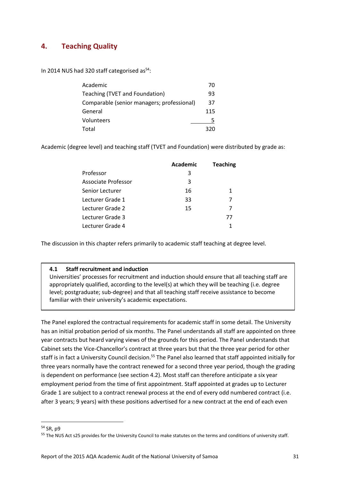## <span id="page-37-0"></span>**4. Teaching Quality**

In 2014 NUS had 320 staff categorised as<sup>54</sup>:

| Academic                                   | 70   |
|--------------------------------------------|------|
| Teaching (TVET and Foundation)             | 93   |
| Comparable (senior managers; professional) | 37   |
| General                                    | 115  |
| Volunteers                                 |      |
| Total                                      | 320. |

Academic (degree level) and teaching staff (TVET and Foundation) were distributed by grade as:

| <b>Teaching</b> |
|-----------------|
|                 |
|                 |
| 1               |
|                 |
|                 |
| 77              |
|                 |
|                 |

The discussion in this chapter refers primarily to academic staff teaching at degree level.

## **4.1 Staff recruitment and induction**

Universities' processes for recruitment and induction should ensure that all teaching staff are appropriately qualified, according to the level(s) at which they will be teaching (i.e. degree level; postgraduate; sub-degree) and that all teaching staff receive assistance to become familiar with their university's academic expectations.

The Panel explored the contractual requirements for academic staff in some detail. The University has an initial probation period of six months. The Panel understands all staff are appointed on three year contracts but heard varying views of the grounds for this period. The Panel understands that Cabinet sets the Vice-Chancellor's contract at three years but that the three year period for other staff is in fact a University Council decision.<sup>55</sup> The Panel also learned that staff appointed initially for three years normally have the contract renewed for a second three year period, though the grading is dependent on performance (see section 4.2). Most staff can therefore anticipate a six year employment period from the time of first appointment. Staff appointed at grades up to Lecturer Grade 1 are subject to a contract renewal process at the end of every odd numbered contract (i.e. after 3 years; 9 years) with these positions advertised for a new contract at the end of each even

<sup>54</sup> SR, p9

<sup>&</sup>lt;sup>55</sup> The NUS Act s25 provides for the University Council to make statutes on the terms and conditions of university staff.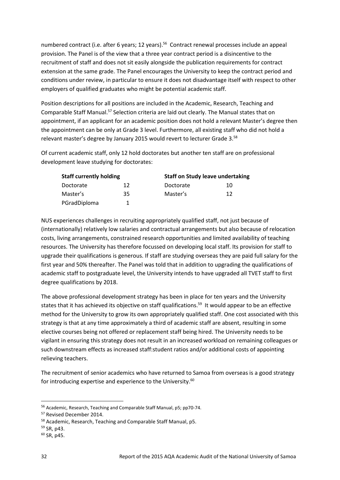numbered contract (i.e. after 6 years; 12 years).<sup>56</sup> Contract renewal processes include an appeal provision. The Panel is of the view that a three year contract period is a disincentive to the recruitment of staff and does not sit easily alongside the publication requirements for contract extension at the same grade. The Panel encourages the University to keep the contract period and conditions under review, in particular to ensure it does not disadvantage itself with respect to other employers of qualified graduates who might be potential academic staff.

Position descriptions for all positions are included in the Academic, Research, Teaching and Comparable Staff Manual.<sup>57</sup> Selection criteria are laid out clearly. The Manual states that on appointment, if an applicant for an academic position does not hold a relevant Master's degree then the appointment can be only at Grade 3 level. Furthermore, all existing staff who did not hold a relevant master's degree by January 2015 would revert to lecturer Grade 3.<sup>58</sup>

Of current academic staff, only 12 hold doctorates but another ten staff are on professional development leave studying for doctorates:

| <b>Staff currently holding</b> |    |           | <b>Staff on Study leave undertaking</b> |  |
|--------------------------------|----|-----------|-----------------------------------------|--|
| Doctorate                      | 12 | Doctorate | 10                                      |  |
| Master's                       | 35 | Master's  | 12                                      |  |
| PGradDiploma                   |    |           |                                         |  |

NUS experiences challenges in recruiting appropriately qualified staff, not just because of (internationally) relatively low salaries and contractual arrangements but also because of relocation costs, living arrangements, constrained research opportunities and limited availability of teaching resources. The University has therefore focussed on developing local staff. Its provision for staff to upgrade their qualifications is generous. If staff are studying overseas they are paid full salary for the first year and 50% thereafter. The Panel was told that in addition to upgrading the qualifications of academic staff to postgraduate level, the University intends to have upgraded all TVET staff to first degree qualifications by 2018.

The above professional development strategy has been in place for ten years and the University states that it has achieved its objective on staff qualifications.<sup>59</sup> It would appear to be an effective method for the University to grow its own appropriately qualified staff. One cost associated with this strategy is that at any time approximately a third of academic staff are absent, resulting in some elective courses being not offered or replacement staff being hired. The University needs to be vigilant in ensuring this strategy does not result in an increased workload on remaining colleagues or such downstream effects as increased staff:student ratios and/or additional costs of appointing relieving teachers.

The recruitment of senior academics who have returned to Samoa from overseas is a good strategy for introducing expertise and experience to the University.<sup>60</sup>

<sup>59</sup> SR, p43.

 $\overline{a}$ 

<sup>56</sup> Academic, Research, Teaching and Comparable Staff Manual, p5; pp70-74.

<sup>57</sup> Revised December 2014.

<sup>58</sup> Academic, Research, Teaching and Comparable Staff Manual, p5.

 $60$  SR, p45.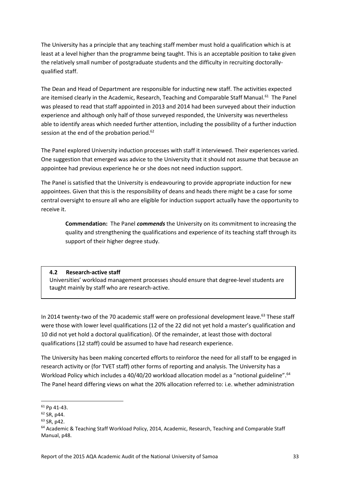The University has a principle that any teaching staff member must hold a qualification which is at least at a level higher than the programme being taught. This is an acceptable position to take given the relatively small number of postgraduate students and the difficulty in recruiting doctorallyqualified staff.

The Dean and Head of Department are responsible for inducting new staff. The activities expected are itemised clearly in the Academic, Research, Teaching and Comparable Staff Manual.<sup>61</sup> The Panel was pleased to read that staff appointed in 2013 and 2014 had been surveyed about their induction experience and although only half of those surveyed responded, the University was nevertheless able to identify areas which needed further attention, including the possibility of a further induction session at the end of the probation period.<sup>62</sup>

The Panel explored University induction processes with staff it interviewed. Their experiences varied. One suggestion that emerged was advice to the University that it should not assume that because an appointee had previous experience he or she does not need induction support.

The Panel is satisfied that the University is endeavouring to provide appropriate induction for new appointees. Given that this is the responsibility of deans and heads there might be a case for some central oversight to ensure all who are eligible for induction support actually have the opportunity to receive it.

**Commendation:** The Panel *commends* the University on its commitment to increasing the quality and strengthening the qualifications and experience of its teaching staff through its support of their higher degree study.

## **4.2 Research-active staff**

.

Universities' workload management processes should ensure that degree-level students are taught mainly by staff who are research-active.

In 2014 twenty-two of the 70 academic staff were on professional development leave.<sup>63</sup> These staff were those with lower level qualifications (12 of the 22 did not yet hold a master's qualification and 10 did not yet hold a doctoral qualification). Of the remainder, at least those with doctoral qualifications (12 staff) could be assumed to have had research experience.

The University has been making concerted efforts to reinforce the need for all staff to be engaged in research activity or (for TVET staff) other forms of reporting and analysis. The University has a Workload Policy which includes a 40/40/20 workload allocation model as a "notional guideline".<sup>64</sup> The Panel heard differing views on what the 20% allocation referred to: i.e. whether administration

 $\overline{a}$ <sup>61</sup> Pp 41-43.

<sup>62</sup> SR, p44.

<sup>63</sup> SR, p42.

<sup>&</sup>lt;sup>64</sup> Academic & Teaching Staff Workload Policy, 2014, Academic, Research, Teaching and Comparable Staff Manual, p48.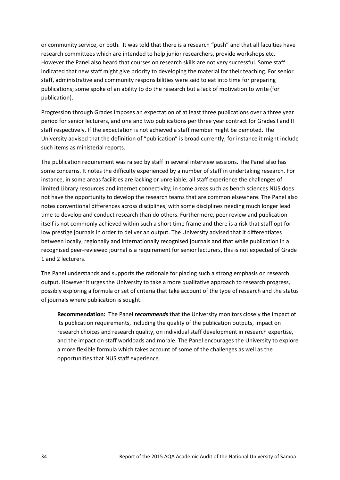or community service, or both. It was told that there is a research "push" and that all faculties have research committees which are intended to help junior researchers, provide workshops etc. However the Panel also heard that courses on research skills are not very successful. Some staff indicated that new staff might give priority to developing the material for their teaching. For senior staff, administrative and community responsibilities were said to eat into time for preparing publications; some spoke of an ability to do the research but a lack of motivation to write (for publication).

Progression through Grades imposes an expectation of at least three publications over a three year period for senior lecturers, and one and two publications per three year contract for Grades I and II staff respectively. If the expectation is not achieved a staff member might be demoted. The University advised that the definition of "publication" is broad currently; for instance it might include such items as ministerial reports.

The publication requirement was raised by staff in several interview sessions. The Panel also has some concerns. It notes the difficulty experienced by a number of staff in undertaking research. For instance, in some areas facilities are lacking or unreliable; all staff experience the challenges of limited Library resources and internet connectivity; in some areas such as bench sciences NUS does not have the opportunity to develop the research teams that are common elsewhere. The Panel also notes conventional differences across disciplines, with some disciplines needing much longer lead time to develop and conduct research than do others. Furthermore, peer review and publication itself is not commonly achieved within such a short time frame and there is a risk that staff opt for low prestige journals in order to deliver an output. The University advised that it differentiates between locally, regionally and internationally recognised journals and that while publication in a recognised peer-reviewed journal is a requirement for senior lecturers, this is not expected of Grade 1 and 2 lecturers.

The Panel understands and supports the rationale for placing such a strong emphasis on research output. However it urges the University to take a more qualitative approach to research progress, possibly exploring a formula or set of criteria that take account of the type of research and the status of journals where publication is sought.

**Recommendation:** The Panel *recommends* that the University monitors closely the impact of its publication requirements, including the quality of the publication outputs, impact on research choices and research quality, on individual staff development in research expertise, and the impact on staff workloads and morale. The Panel encourages the University to explore a more flexible formula which takes account of some of the challenges as well as the opportunities that NUS staff experience.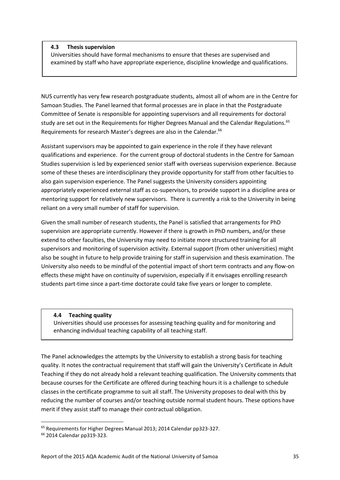## **4.3 Thesis supervision**

Universities should have formal mechanisms to ensure that theses are supervised and examined by staff who have appropriate experience, discipline knowledge and qualifications.

NUS currently has very few research postgraduate students, almost all of whom are in the Centre for Samoan Studies. The Panel learned that formal processes are in place in that the Postgraduate Committee of Senate is responsible for appointing supervisors and all requirements for doctoral study are set out in the Requirements for Higher Degrees Manual and the Calendar Regulations.<sup>65</sup> Requirements for research Master's degrees are also in the Calendar.<sup>66</sup>

Assistant supervisors may be appointed to gain experience in the role if they have relevant qualifications and experience. For the current group of doctoral students in the Centre for Samoan Studies supervision is led by experienced senior staff with overseas supervision experience. Because some of these theses are interdisciplinary they provide opportunity for staff from other faculties to also gain supervision experience. The Panel suggests the University considers appointing appropriately experienced external staff as co-supervisors, to provide support in a discipline area or mentoring support for relatively new supervisors. There is currently a risk to the University in being reliant on a very small number of staff for supervision.

Given the small number of research students, the Panel is satisfied that arrangements for PhD supervision are appropriate currently. However if there is growth in PhD numbers, and/or these extend to other faculties, the University may need to initiate more structured training for all supervisors and monitoring of supervision activity. External support (from other universities) might also be sought in future to help provide training for staff in supervision and thesis examination. The University also needs to be mindful of the potential impact of short term contracts and any flow-on effects these might have on continuity of supervision, especially if it envisages enrolling research students part-time since a part-time doctorate could take five years or longer to complete.

#### **4.4 Teaching quality**

Universities should use processes for assessing teaching quality and for monitoring and enhancing individual teaching capability of all teaching staff.

The Panel acknowledges the attempts by the University to establish a strong basis for teaching quality. It notes the contractual requirement that staff will gain the University's Certificate in Adult Teaching if they do not already hold a relevant teaching qualification. The University comments that because courses for the Certificate are offered during teaching hours it is a challenge to schedule classes in the certificate programme to suit all staff. The University proposes to deal with this by reducing the number of courses and/or teaching outside normal student hours. These options have merit if they assist staff to manage their contractual obligation.

<sup>65</sup> Requirements for Higher Degrees Manual 2013; 2014 Calendar pp323-327.

<sup>66</sup> 2014 Calendar pp319-323.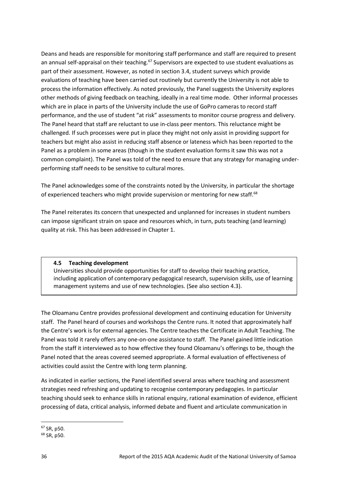Deans and heads are responsible for monitoring staff performance and staff are required to present an annual self-appraisal on their teaching.<sup>67</sup> Supervisors are expected to use student evaluations as part of their assessment. However, as noted in section 3.4, student surveys which provide evaluations of teaching have been carried out routinely but currently the University is not able to process the information effectively. As noted previously, the Panel suggests the University explores other methods of giving feedback on teaching, ideally in a real time mode. Other informal processes which are in place in parts of the University include the use of GoPro cameras to record staff performance, and the use of student "at risk" assessments to monitor course progress and delivery. The Panel heard that staff are reluctant to use in-class peer mentors. This reluctance might be challenged. If such processes were put in place they might not only assist in providing support for teachers but might also assist in reducing staff absence or lateness which has been reported to the Panel as a problem in some areas (though in the student evaluation forms it saw this was not a common complaint). The Panel was told of the need to ensure that any strategy for managing underperforming staff needs to be sensitive to cultural mores.

The Panel acknowledges some of the constraints noted by the University, in particular the shortage of experienced teachers who might provide supervision or mentoring for new staff.<sup>68</sup>

The Panel reiterates its concern that unexpected and unplanned for increases in student numbers can impose significant strain on space and resources which, in turn, puts teaching (and learning) quality at risk. This has been addressed in Chapter 1.

## **4.5 Teaching development**

Universities should provide opportunities for staff to develop their teaching practice, including application of contemporary pedagogical research, supervision skills, use of learning management systems and use of new technologies. (See also section 4.3).

The Oloamanu Centre provides professional development and continuing education for University staff. The Panel heard of courses and workshops the Centre runs. It noted that approximately half the Centre's work is for external agencies. The Centre teaches the Certificate in Adult Teaching. The Panel was told it rarely offers any one-on-one assistance to staff. The Panel gained little indication from the staff it interviewed as to how effective they found Oloamanu's offerings to be, though the Panel noted that the areas covered seemed appropriate. A formal evaluation of effectiveness of activities could assist the Centre with long term planning.

As indicated in earlier sections, the Panel identified several areas where teaching and assessment strategies need refreshing and updating to recognise contemporary pedagogies. In particular teaching should seek to enhance skills in rational enquiry, rational examination of evidence, efficient processing of data, critical analysis, informed debate and fluent and articulate communication in

**<sup>.</sup>** <sup>67</sup> SR, p50.

<sup>68</sup> SR, p50.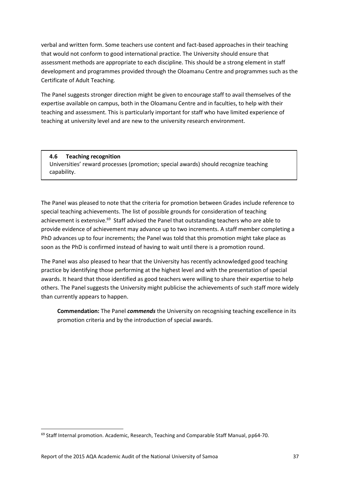verbal and written form. Some teachers use content and fact-based approaches in their teaching that would not conform to good international practice. The University should ensure that assessment methods are appropriate to each discipline. This should be a strong element in staff development and programmes provided through the Oloamanu Centre and programmes such as the Certificate of Adult Teaching.

The Panel suggests stronger direction might be given to encourage staff to avail themselves of the expertise available on campus, both in the Oloamanu Centre and in faculties, to help with their teaching and assessment. This is particularly important for staff who have limited experience of teaching at university level and are new to the university research environment.

## **4.6 Teaching recognition** Universities' reward processes (promotion; special awards) should recognize teaching capability.

The Panel was pleased to note that the criteria for promotion between Grades include reference to special teaching achievements. The list of possible grounds for consideration of teaching achievement is extensive.<sup>69</sup> Staff advised the Panel that outstanding teachers who are able to provide evidence of achievement may advance up to two increments. A staff member completing a PhD advances up to four increments; the Panel was told that this promotion might take place as soon as the PhD is confirmed instead of having to wait until there is a promotion round.

The Panel was also pleased to hear that the University has recently acknowledged good teaching practice by identifying those performing at the highest level and with the presentation of special awards. It heard that those identified as good teachers were willing to share their expertise to help others. The Panel suggests the University might publicise the achievements of such staff more widely than currently appears to happen.

**Commendation:** The Panel *commends* the University on recognising teaching excellence in its promotion criteria and by the introduction of special awards.

**<sup>.</sup>** <sup>69</sup> Staff Internal promotion. Academic, Research, Teaching and Comparable Staff Manual, pp64-70.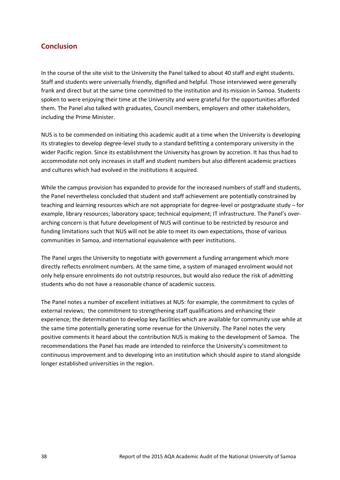## <span id="page-44-0"></span>**Conclusion**

In the course of the site visit to the University the Panel talked to about 40 staff and eight students. Staff and students were universally friendly, dignified and helpful. Those interviewed were generally frank and direct but at the same time committed to the institution and its mission in Samoa. Students spoken to were enjoying their time at the University and were grateful for the opportunities afforded them. The Panel also talked with graduates, Council members, employers and other stakeholders, including the Prime Minister.

NUS is to be commended on initiating this academic audit at a time when the University is developing its strategies to develop degree-level study to a standard befitting a contemporary university in the wider Pacific region. Since its establishment the University has grown by accretion. It has thus had to accommodate not only increases in staff and student numbers but also different academic practices and cultures which had evolved in the institutions it acquired.

While the campus provision has expanded to provide for the increased numbers of staff and students, the Panel nevertheless concluded that student and staff achievement are potentially constrained by teaching and learning resources which are not appropriate for degree-level or postgraduate study – for example, library resources; laboratory space; technical equipment; IT infrastructure. The Panel's overarching concern is that future development of NUS will continue to be restricted by resource and funding limitations such that NUS will not be able to meet its own expectations, those of various communities in Samoa, and international equivalence with peer institutions.

The Panel urges the University to negotiate with government a funding arrangement which more directly reflects enrolment numbers. At the same time, a system of managed enrolment would not only help ensure enrolments do not outstrip resources, but would also reduce the risk of admitting students who do not have a reasonable chance of academic success.

The Panel notes a number of excellent initiatives at NUS: for example, the commitment to cycles of external reviews; the commitment to strengthening staff qualifications and enhancing their experience; the determination to develop key facilities which are available for community use while at the same time potentially generating some revenue for the University. The Panel notes the very positive comments it heard about the contribution NUS is making to the development of Samoa. The recommendations the Panel has made are intended to reinforce the University's commitment to continuous improvement and to developing into an institution which should aspire to stand alongside longer established universities in the region.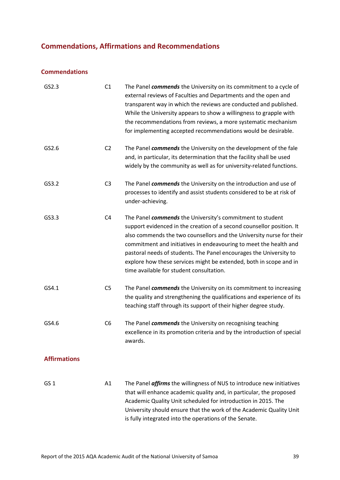# <span id="page-45-0"></span>**Commendations, Affirmations and Recommendations**

## **Commendations**

| GS2.3               | C1             | The Panel commends the University on its commitment to a cycle of<br>external reviews of Faculties and Departments and the open and<br>transparent way in which the reviews are conducted and published.<br>While the University appears to show a willingness to grapple with<br>the recommendations from reviews, a more systematic mechanism<br>for implementing accepted recommendations would be desirable.                                                        |
|---------------------|----------------|-------------------------------------------------------------------------------------------------------------------------------------------------------------------------------------------------------------------------------------------------------------------------------------------------------------------------------------------------------------------------------------------------------------------------------------------------------------------------|
| GS2.6               | C <sub>2</sub> | The Panel commends the University on the development of the fale<br>and, in particular, its determination that the facility shall be used<br>widely by the community as well as for university-related functions.                                                                                                                                                                                                                                                       |
| GS3.2               | C <sub>3</sub> | The Panel commends the University on the introduction and use of<br>processes to identify and assist students considered to be at risk of<br>under-achieving.                                                                                                                                                                                                                                                                                                           |
| GS3.3               | C <sub>4</sub> | The Panel commends the University's commitment to student<br>support evidenced in the creation of a second counsellor position. It<br>also commends the two counsellors and the University nurse for their<br>commitment and initiatives in endeavouring to meet the health and<br>pastoral needs of students. The Panel encourages the University to<br>explore how these services might be extended, both in scope and in<br>time available for student consultation. |
| GS4.1               | C <sub>5</sub> | The Panel commends the University on its commitment to increasing<br>the quality and strengthening the qualifications and experience of its<br>teaching staff through its support of their higher degree study.                                                                                                                                                                                                                                                         |
| GS4.6               | C <sub>6</sub> | The Panel commends the University on recognising teaching<br>excellence in its promotion criteria and by the introduction of special<br>awards.                                                                                                                                                                                                                                                                                                                         |
| <b>Affirmations</b> |                |                                                                                                                                                                                                                                                                                                                                                                                                                                                                         |
| GS <sub>1</sub>     | A1             | The Panel <i>affirms</i> the willingness of NUS to introduce new initiatives<br>that will enhance academic quality and, in particular, the proposed<br>Academic Quality Unit scheduled for introduction in 2015. The<br>University should ensure that the work of the Academic Quality Unit<br>is fully integrated into the operations of the Senate.                                                                                                                   |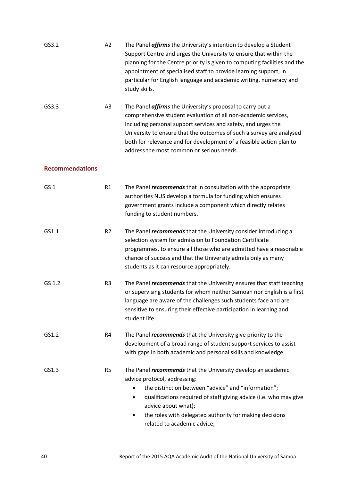| GS3.2                  | A2             | The Panel <i>affirms</i> the University's intention to develop a Student<br>Support Centre and urges the University to ensure that within the<br>planning for the Centre priority is given to computing facilities and the<br>appointment of specialised staff to provide learning support, in<br>particular for English language and academic writing, numeracy and<br>study skills.            |
|------------------------|----------------|--------------------------------------------------------------------------------------------------------------------------------------------------------------------------------------------------------------------------------------------------------------------------------------------------------------------------------------------------------------------------------------------------|
| GS3.3                  | A3             | The Panel <i>affirms</i> the University's proposal to carry out a<br>comprehensive student evaluation of all non-academic services,<br>including personal support services and safety, and urges the<br>University to ensure that the outcomes of such a survey are analysed<br>both for relevance and for development of a feasible action plan to<br>address the most common or serious needs. |
| <b>Recommendations</b> |                |                                                                                                                                                                                                                                                                                                                                                                                                  |
| GS <sub>1</sub>        | R1             | The Panel recommends that in consultation with the appropriate<br>authorities NUS develop a formula for funding which ensures<br>government grants include a component which directly relates<br>funding to student numbers.                                                                                                                                                                     |
| GS1.1                  | R <sub>2</sub> | The Panel <i>recommends</i> that the University consider introducing a<br>selection system for admission to Foundation Certificate<br>programmes, to ensure all those who are admitted have a reasonable<br>chance of success and that the University admits only as many<br>students as it can resource appropriately.                                                                          |
| GS 1.2                 | R <sub>3</sub> | The Panel <i>recommends</i> that the University ensures that staff teaching<br>or supervising students for whom neither Samoan nor English is a first<br>language are aware of the challenges such students face and are<br>sensitive to ensuring their effective participation in learning and<br>student life.                                                                                 |
| GS1.2                  | R4             | The Panel <i>recommends</i> that the University give priority to the<br>development of a broad range of student support services to assist<br>with gaps in both academic and personal skills and knowledge.                                                                                                                                                                                      |
| GS1.3                  | R <sub>5</sub> | The Panel <i>recommends</i> that the University develop an academic<br>advice protocol, addressing:<br>the distinction between "advice" and "information";<br>qualifications required of staff giving advice (i.e. who may give<br>٠<br>advice about what);<br>the roles with delegated authority for making decisions<br>related to academic advice;                                            |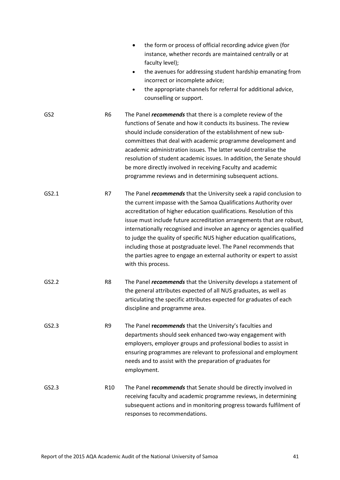|                 |                 | the form or process of official recording advice given (for<br>instance, whether records are maintained centrally or at<br>faculty level);<br>the avenues for addressing student hardship emanating from<br>$\bullet$<br>incorrect or incomplete advice;<br>the appropriate channels for referral for additional advice,<br>$\bullet$<br>counselling or support.                                                                                                                                                                                                                                                      |
|-----------------|-----------------|-----------------------------------------------------------------------------------------------------------------------------------------------------------------------------------------------------------------------------------------------------------------------------------------------------------------------------------------------------------------------------------------------------------------------------------------------------------------------------------------------------------------------------------------------------------------------------------------------------------------------|
| GS <sub>2</sub> | R <sub>6</sub>  | The Panel <i>recommends</i> that there is a complete review of the<br>functions of Senate and how it conducts its business. The review<br>should include consideration of the establishment of new sub-<br>committees that deal with academic programme development and<br>academic administration issues. The latter would centralise the<br>resolution of student academic issues. In addition, the Senate should<br>be more directly involved in receiving Faculty and academic<br>programme reviews and in determining subsequent actions.                                                                        |
| GS2.1           | R7              | The Panel <i>recommends</i> that the University seek a rapid conclusion to<br>the current impasse with the Samoa Qualifications Authority over<br>accreditation of higher education qualifications. Resolution of this<br>issue must include future accreditation arrangements that are robust,<br>internationally recognised and involve an agency or agencies qualified<br>to judge the quality of specific NUS higher education qualifications,<br>including those at postgraduate level. The Panel recommends that<br>the parties agree to engage an external authority or expert to assist<br>with this process. |
| GS2.2           | R8              | The Panel <i>recommends</i> that the University develops a statement of<br>the general attributes expected of all NUS graduates, as well as<br>articulating the specific attributes expected for graduates of each<br>discipline and programme area.                                                                                                                                                                                                                                                                                                                                                                  |
| GS2.3           | R <sub>9</sub>  | The Panel recommends that the University's faculties and<br>departments should seek enhanced two-way engagement with<br>employers, employer groups and professional bodies to assist in<br>ensuring programmes are relevant to professional and employment<br>needs and to assist with the preparation of graduates for<br>employment.                                                                                                                                                                                                                                                                                |
| GS2.3           | R <sub>10</sub> | The Panel recommends that Senate should be directly involved in<br>receiving faculty and academic programme reviews, in determining<br>subsequent actions and in monitoring progress towards fulfilment of<br>responses to recommendations.                                                                                                                                                                                                                                                                                                                                                                           |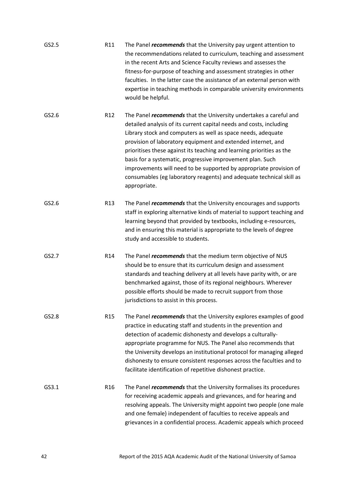| GS2.5 | R11             | The Panel <i>recommends</i> that the University pay urgent attention to<br>the recommendations related to curriculum, teaching and assessment<br>in the recent Arts and Science Faculty reviews and assesses the<br>fitness-for-purpose of teaching and assessment strategies in other<br>faculties. In the latter case the assistance of an external person with<br>expertise in teaching methods in comparable university environments<br>would be helpful.                                                                                                                        |
|-------|-----------------|--------------------------------------------------------------------------------------------------------------------------------------------------------------------------------------------------------------------------------------------------------------------------------------------------------------------------------------------------------------------------------------------------------------------------------------------------------------------------------------------------------------------------------------------------------------------------------------|
| GS2.6 | R12             | The Panel <i>recommends</i> that the University undertakes a careful and<br>detailed analysis of its current capital needs and costs, including<br>Library stock and computers as well as space needs, adequate<br>provision of laboratory equipment and extended internet, and<br>prioritises these against its teaching and learning priorities as the<br>basis for a systematic, progressive improvement plan. Such<br>improvements will need to be supported by appropriate provision of<br>consumables (eg laboratory reagents) and adequate technical skill as<br>appropriate. |
| GS2.6 | R13             | The Panel <i>recommends</i> that the University encourages and supports<br>staff in exploring alternative kinds of material to support teaching and<br>learning beyond that provided by textbooks, including e-resources,<br>and in ensuring this material is appropriate to the levels of degree<br>study and accessible to students.                                                                                                                                                                                                                                               |
| GS2.7 | R14             | The Panel <i>recommends</i> that the medium term objective of NUS<br>should be to ensure that its curriculum design and assessment<br>standards and teaching delivery at all levels have parity with, or are<br>benchmarked against, those of its regional neighbours. Wherever<br>possible efforts should be made to recruit support from those<br>jurisdictions to assist in this process.                                                                                                                                                                                         |
| GS2.8 | R <sub>15</sub> | The Panel <i>recommends</i> that the University explores examples of good<br>practice in educating staff and students in the prevention and<br>detection of academic dishonesty and develops a culturally-<br>appropriate programme for NUS. The Panel also recommends that<br>the University develops an institutional protocol for managing alleged<br>dishonesty to ensure consistent responses across the faculties and to<br>facilitate identification of repetitive dishonest practice.                                                                                        |
| GS3.1 | R <sub>16</sub> | The Panel <i>recommends</i> that the University formalises its procedures<br>for receiving academic appeals and grievances, and for hearing and<br>resolving appeals. The University might appoint two people (one male<br>and one female) independent of faculties to receive appeals and<br>grievances in a confidential process. Academic appeals which proceed                                                                                                                                                                                                                   |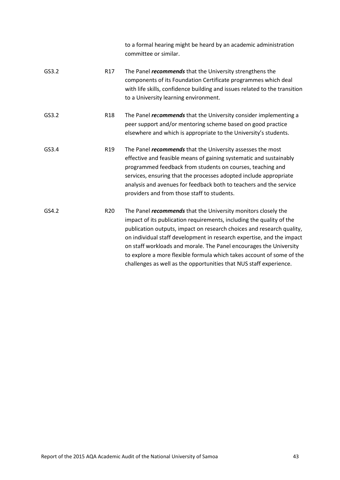|       |                 | to a formal hearing might be heard by an academic administration<br>committee or similar.                                                                                                                                                                                                                                                                                                                                                                                                                           |
|-------|-----------------|---------------------------------------------------------------------------------------------------------------------------------------------------------------------------------------------------------------------------------------------------------------------------------------------------------------------------------------------------------------------------------------------------------------------------------------------------------------------------------------------------------------------|
| GS3.2 | R <sub>17</sub> | The Panel <i>recommends</i> that the University strengthens the<br>components of its Foundation Certificate programmes which deal<br>with life skills, confidence building and issues related to the transition<br>to a University learning environment.                                                                                                                                                                                                                                                            |
| GS3.2 | R <sub>18</sub> | The Panel <i>recommends</i> that the University consider implementing a<br>peer support and/or mentoring scheme based on good practice<br>elsewhere and which is appropriate to the University's students.                                                                                                                                                                                                                                                                                                          |
| GS3.4 | R <sub>19</sub> | The Panel <i>recommends</i> that the University assesses the most<br>effective and feasible means of gaining systematic and sustainably<br>programmed feedback from students on courses, teaching and<br>services, ensuring that the processes adopted include appropriate<br>analysis and avenues for feedback both to teachers and the service<br>providers and from those staff to students.                                                                                                                     |
| GS4.2 | R <sub>20</sub> | The Panel <i>recommends</i> that the University monitors closely the<br>impact of its publication requirements, including the quality of the<br>publication outputs, impact on research choices and research quality,<br>on individual staff development in research expertise, and the impact<br>on staff workloads and morale. The Panel encourages the University<br>to explore a more flexible formula which takes account of some of the<br>challenges as well as the opportunities that NUS staff experience. |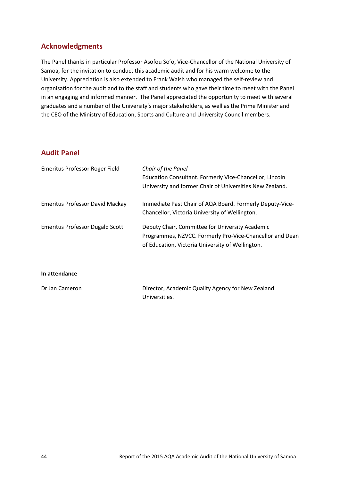## <span id="page-50-0"></span>**Acknowledgments**

The Panel thanks in particular Professor Asofou So'o, Vice-Chancellor of the National University of Samoa, for the invitation to conduct this academic audit and for his warm welcome to the University. Appreciation is also extended to Frank Walsh who managed the self-review and organisation for the audit and to the staff and students who gave their time to meet with the Panel in an engaging and informed manner. The Panel appreciated the opportunity to meet with several graduates and a number of the University's major stakeholders, as well as the Prime Minister and the CEO of the Ministry of Education, Sports and Culture and University Council members.

## <span id="page-50-1"></span>**Audit Panel**

| Emeritus Professor Roger Field         | Chair of the Panel<br>Education Consultant. Formerly Vice-Chancellor, Lincoln<br>University and former Chair of Universities New Zealand.                       |
|----------------------------------------|-----------------------------------------------------------------------------------------------------------------------------------------------------------------|
| <b>Emeritus Professor David Mackay</b> | Immediate Past Chair of AQA Board. Formerly Deputy-Vice-<br>Chancellor, Victoria University of Wellington.                                                      |
| <b>Emeritus Professor Dugald Scott</b> | Deputy Chair, Committee for University Academic<br>Programmes, NZVCC. Formerly Pro-Vice-Chancellor and Dean<br>of Education, Victoria University of Wellington. |

**In attendance**

| Dr Jan Cameron | Director, Academic Quality Agency for New Zealand |
|----------------|---------------------------------------------------|
|                | Universities.                                     |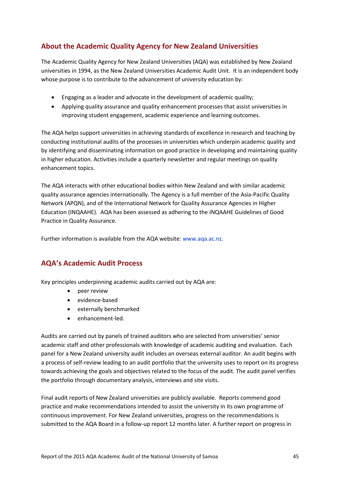# <span id="page-51-0"></span>**About the Academic Quality Agency for New Zealand Universities**

The Academic Quality Agency for New Zealand Universities (AQA) was established by New Zealand universities in 1994, as the New Zealand Universities Academic Audit Unit. It is an independent body whose purpose is to contribute to the advancement of university education by:

- Engaging as a leader and advocate in the development of academic quality;
- Applying quality assurance and quality enhancement processes that assist universities in improving student engagement, academic experience and learning outcomes.

The AQA helps support universities in achieving standards of excellence in research and teaching by conducting institutional audits of the processes in universities which underpin academic quality and by identifying and disseminating information on good practice in developing and maintaining quality in higher education. Activities include a quarterly newsletter and regular meetings on quality enhancement topics.

The AQA interacts with other educational bodies within New Zealand and with similar academic quality assurance agencies internationally. The Agency is a full member of the Asia-Pacific Quality Network (APQN), and of the International Network for Quality Assurance Agencies in Higher Education (INQAAHE). AQA has been assessed as adhering to the INQAAHE Guidelines of Good Practice in Quality Assurance.

Further information is available from the AQA website: [www.aqa.ac.nz.](http://www.aqa.ac.nz/)

## <span id="page-51-1"></span>**AQA's Academic Audit Process**

Key principles underpinning academic audits carried out by AQA are:

- peer review
- evidence-based
- externally benchmarked
- enhancement-led.

Audits are carried out by panels of trained auditors who are selected from universities' senior academic staff and other professionals with knowledge of academic auditing and evaluation. Each panel for a New Zealand university audit includes an overseas external auditor. An audit begins with a process of self-review leading to an audit portfolio that the university uses to report on its progress towards achieving the goals and objectives related to the focus of the audit. The audit panel verifies the portfolio through documentary analysis, interviews and site visits.

Final audit reports of New Zealand universities are publicly available. Reports commend good practice and make recommendations intended to assist the university in its own programme of continuous improvement. For New Zealand universities, progress on the recommendations is submitted to the AQA Board in a follow-up report 12 months later. A further report on progress in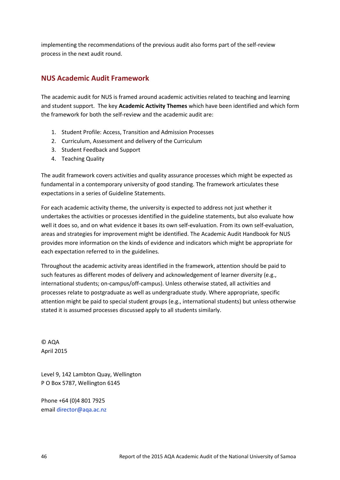implementing the recommendations of the previous audit also forms part of the self-review process in the next audit round.

## <span id="page-52-0"></span>**NUS Academic Audit Framework**

The academic audit for NUS is framed around academic activities related to teaching and learning and student support. The key **Academic Activity Themes** which have been identified and which form the framework for both the self-review and the academic audit are:

- 1. Student Profile: Access, Transition and Admission Processes
- 2. Curriculum, Assessment and delivery of the Curriculum
- 3. Student Feedback and Support
- 4. Teaching Quality

The audit framework covers activities and quality assurance processes which might be expected as fundamental in a contemporary university of good standing. The framework articulates these expectations in a series of Guideline Statements.

For each academic activity theme, the university is expected to address not just whether it undertakes the activities or processes identified in the guideline statements, but also evaluate how well it does so, and on what evidence it bases its own self-evaluation. From its own self-evaluation, areas and strategies for improvement might be identified. The Academic Audit Handbook for NUS provides more information on the kinds of evidence and indicators which might be appropriate for each expectation referred to in the guidelines.

Throughout the academic activity areas identified in the framework, attention should be paid to such features as different modes of delivery and acknowledgement of learner diversity (e.g., international students; on-campus/off-campus). Unless otherwise stated, all activities and processes relate to postgraduate as well as undergraduate study. Where appropriate, specific attention might be paid to special student groups (e.g., international students) but unless otherwise stated it is assumed processes discussed apply to all students similarly.

© AQA April 2015

Level 9, 142 Lambton Quay, Wellington P O Box 5787, Wellington 6145

Phone +64 (0)4 801 7925 email [director@aqa.ac.nz](mailto:director@aqa.ac.nz)